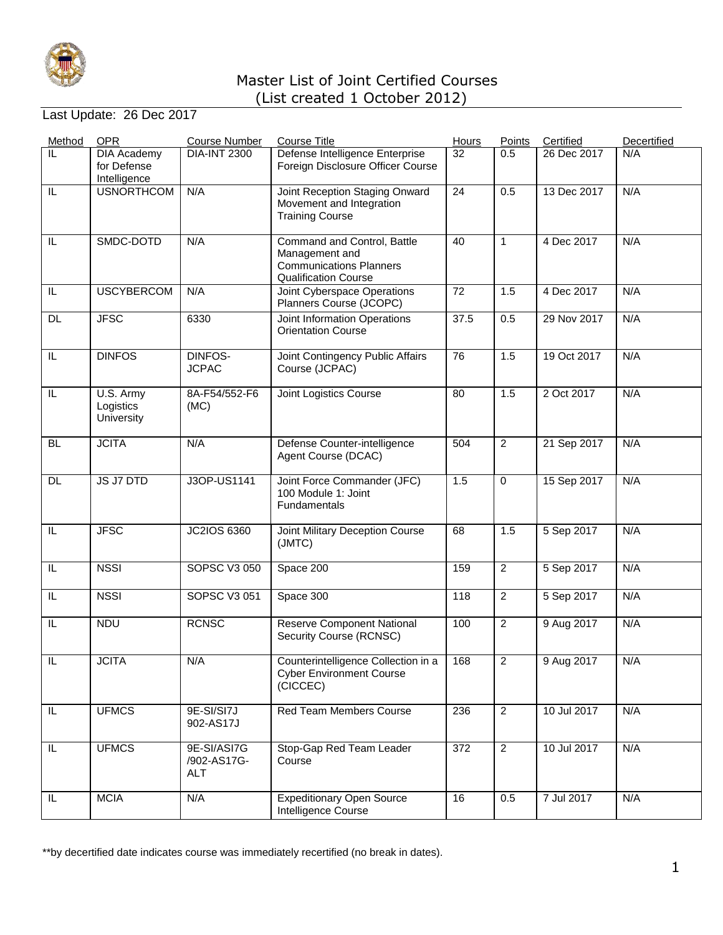

### Last Update: 26 Dec 2017

| Method                  | <b>OPR</b>                                        | <b>Course Number</b>                     | <b>Course Title</b>                                                                                            | <b>Hours</b> | Points         | Certified   | Decertified |
|-------------------------|---------------------------------------------------|------------------------------------------|----------------------------------------------------------------------------------------------------------------|--------------|----------------|-------------|-------------|
| IL                      | <b>DIA Academy</b><br>for Defense<br>Intelligence | <b>DIA-INT 2300</b>                      | Defense Intelligence Enterprise<br>Foreign Disclosure Officer Course                                           | 32           | 0.5            | 26 Dec 2017 | N/A         |
| IL.                     | <b>USNORTHCOM</b>                                 | N/A                                      | Joint Reception Staging Onward<br>Movement and Integration<br><b>Training Course</b>                           | 24           | 0.5            | 13 Dec 2017 | N/A         |
| IL                      | SMDC-DOTD                                         | N/A                                      | Command and Control, Battle<br>Management and<br><b>Communications Planners</b><br><b>Qualification Course</b> | 40           | $\mathbf{1}$   | 4 Dec 2017  | N/A         |
| IL.                     | <b>USCYBERCOM</b>                                 | N/A                                      | Joint Cyberspace Operations<br>Planners Course (JCOPC)                                                         | 72           | 1.5            | 4 Dec 2017  | N/A         |
| <b>DL</b>               | <b>JFSC</b>                                       | 6330                                     | Joint Information Operations<br><b>Orientation Course</b>                                                      | 37.5         | 0.5            | 29 Nov 2017 | N/A         |
| IL                      | <b>DINFOS</b>                                     | DINFOS-<br><b>JCPAC</b>                  | Joint Contingency Public Affairs<br>Course (JCPAC)                                                             | 76           | 1.5            | 19 Oct 2017 | N/A         |
| IL.                     | U.S. Army<br>Logistics<br>University              | 8A-F54/552-F6<br>(MC)                    | Joint Logistics Course                                                                                         | 80           | 1.5            | 2 Oct 2017  | N/A         |
| <b>BL</b>               | <b>JCITA</b>                                      | N/A                                      | Defense Counter-intelligence<br>Agent Course (DCAC)                                                            | 504          | $\overline{2}$ | 21 Sep 2017 | N/A         |
| <b>DL</b>               | JS J7 DTD                                         | J3OP-US1141                              | Joint Force Commander (JFC)<br>100 Module 1: Joint<br>Fundamentals                                             | 1.5          | 0              | 15 Sep 2017 | N/A         |
| IL                      | <b>JFSC</b>                                       | JC2IOS 6360                              | Joint Military Deception Course<br>(JMTC)                                                                      | 68           | 1.5            | 5 Sep 2017  | N/A         |
| IL.                     | <b>NSSI</b>                                       | <b>SOPSC V3 050</b>                      | Space 200                                                                                                      | 159          | $\overline{c}$ | 5 Sep 2017  | N/A         |
| IL.                     | <b>NSSI</b>                                       | SOPSC V3 051                             | Space 300                                                                                                      | 118          | $\overline{2}$ | 5 Sep 2017  | N/A         |
| IL.                     | <b>NDU</b>                                        | <b>RCNSC</b>                             | <b>Reserve Component National</b><br>Security Course (RCNSC)                                                   | 100          | $\overline{2}$ | 9 Aug 2017  | N/A         |
| $\overline{\mathbb{L}}$ | <b>JCITA</b>                                      | N/A                                      | Counterintelligence Collection in a<br><b>Cyber Environment Course</b><br>(CICCEC)                             | 168          | $\overline{2}$ | 9 Aug 2017  | N/A         |
| IL.                     | <b>UFMCS</b>                                      | 9E-SI/SI7J<br>902-AS17J                  | Red Team Members Course                                                                                        | 236          | $\overline{2}$ | 10 Jul 2017 | N/A         |
| IL.                     | <b>UFMCS</b>                                      | 9E-SI/ASI7G<br>/902-AS17G-<br><b>ALT</b> | Stop-Gap Red Team Leader<br>Course                                                                             | 372          | $\overline{2}$ | 10 Jul 2017 | N/A         |
| IL                      | <b>MCIA</b>                                       | N/A                                      | <b>Expeditionary Open Source</b><br>Intelligence Course                                                        | 16           | 0.5            | 7 Jul 2017  | N/A         |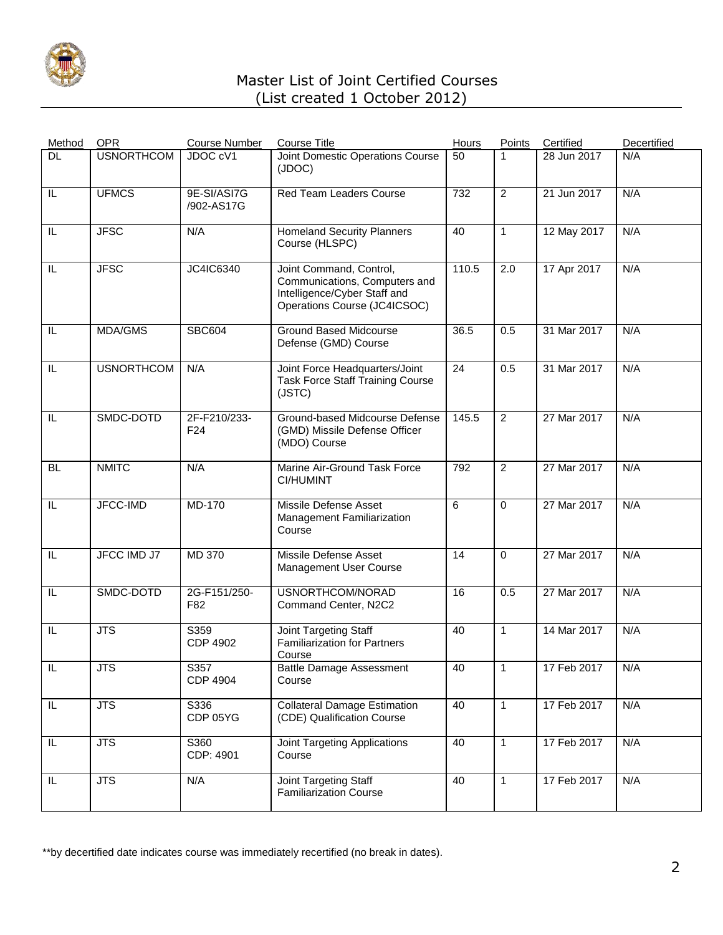

| Method    | <b>OPR</b>        | <b>Course Number</b>            | <b>Course Title</b>                                                                                                      | <b>Hours</b> | Points         | Certified   | Decertified |
|-----------|-------------------|---------------------------------|--------------------------------------------------------------------------------------------------------------------------|--------------|----------------|-------------|-------------|
| DL        | <b>USNORTHCOM</b> | JDOC cV1                        | Joint Domestic Operations Course<br>(JDOC)                                                                               | 50           | 1              | 28 Jun 2017 | N/A         |
| IL        | <b>UFMCS</b>      | 9E-SI/ASI7G<br>/902-AS17G       | <b>Red Team Leaders Course</b>                                                                                           | 732          | $\overline{2}$ | 21 Jun 2017 | N/A         |
| IL        | <b>JFSC</b>       | N/A                             | <b>Homeland Security Planners</b><br>Course (HLSPC)                                                                      | 40           | $\mathbf{1}$   | 12 May 2017 | N/A         |
| IL        | <b>JFSC</b>       | JC4IC6340                       | Joint Command, Control,<br>Communications, Computers and<br>Intelligence/Cyber Staff and<br>Operations Course (JC4ICSOC) | 110.5        | 2.0            | 17 Apr 2017 | N/A         |
| IL        | <b>MDA/GMS</b>    | <b>SBC604</b>                   | <b>Ground Based Midcourse</b><br>Defense (GMD) Course                                                                    | 36.5         | 0.5            | 31 Mar 2017 | N/A         |
| IL        | <b>USNORTHCOM</b> | N/A                             | Joint Force Headquarters/Joint<br><b>Task Force Staff Training Course</b><br>(JSTC)                                      | 24           | 0.5            | 31 Mar 2017 | N/A         |
| IL        | SMDC-DOTD         | 2F-F210/233-<br>F <sub>24</sub> | Ground-based Midcourse Defense<br>(GMD) Missile Defense Officer<br>(MDO) Course                                          | 145.5        | $\overline{2}$ | 27 Mar 2017 | N/A         |
| <b>BL</b> | <b>NMITC</b>      | N/A                             | Marine Air-Ground Task Force<br>CI/HUMINT                                                                                | 792          | $\overline{2}$ | 27 Mar 2017 | N/A         |
| IL        | JFCC-IMD          | <b>MD-170</b>                   | Missile Defense Asset<br>Management Familiarization<br>Course                                                            | 6            | $\Omega$       | 27 Mar 2017 | N/A         |
| IL        | JFCC IMD J7       | MD 370                          | Missile Defense Asset<br>Management User Course                                                                          | 14           | $\mathbf 0$    | 27 Mar 2017 | N/A         |
| IL        | SMDC-DOTD         | 2G-F151/250-<br>F82             | USNORTHCOM/NORAD<br>Command Center, N2C2                                                                                 | 16           | 0.5            | 27 Mar 2017 | N/A         |
| IL        | <b>JTS</b>        | S359<br><b>CDP 4902</b>         | <b>Joint Targeting Staff</b><br><b>Familiarization for Partners</b><br>Course                                            | 40           | $\mathbf{1}$   | 14 Mar 2017 | N/A         |
| IL        | <b>JTS</b>        | S357<br><b>CDP 4904</b>         | <b>Battle Damage Assessment</b><br>Course                                                                                | 40           | 1              | 17 Feb 2017 | N/A         |
| IL        | $\overline{JTS}$  | S336<br>CDP 05YG                | <b>Collateral Damage Estimation</b><br>(CDE) Qualification Course                                                        | 40           | $\mathbf{1}$   | 17 Feb 2017 | N/A         |
| IL        | <b>JTS</b>        | S360<br>CDP: 4901               | Joint Targeting Applications<br>Course                                                                                   | 40           | $\mathbf{1}$   | 17 Feb 2017 | N/A         |
| IL        | <b>JTS</b>        | N/A                             | Joint Targeting Staff<br><b>Familiarization Course</b>                                                                   | 40           | $\mathbf{1}$   | 17 Feb 2017 | N/A         |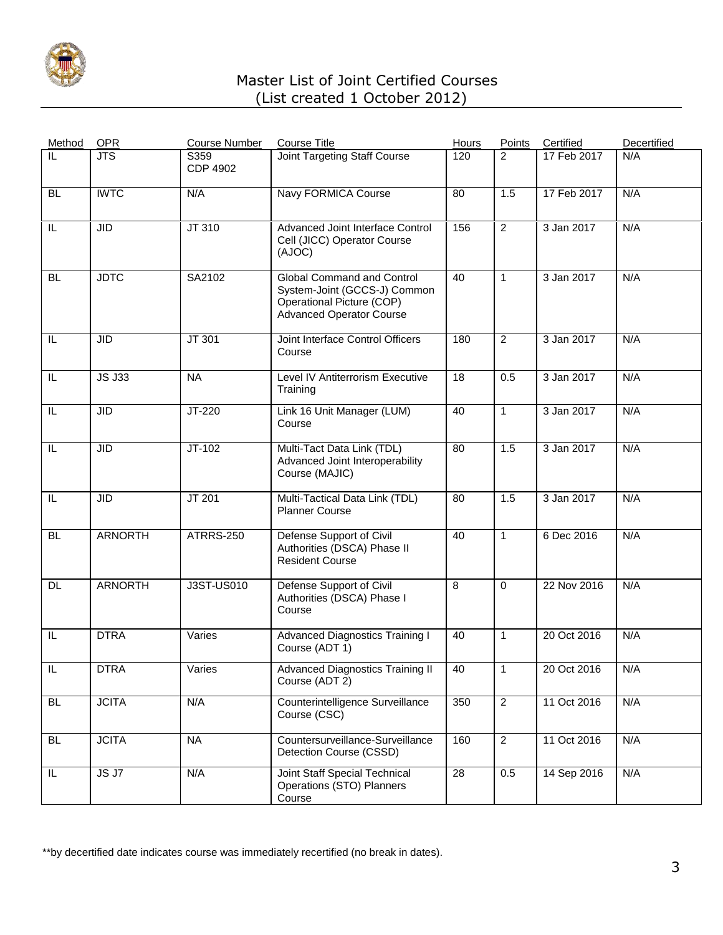

| Method    | <b>OPR</b>     | <b>Course Number</b>    | <b>Course Title</b>                                                                                                        | Hours | Points         | Certified   | Decertified |
|-----------|----------------|-------------------------|----------------------------------------------------------------------------------------------------------------------------|-------|----------------|-------------|-------------|
| IL        | <b>JTS</b>     | S359<br><b>CDP 4902</b> | <b>Joint Targeting Staff Course</b>                                                                                        | 120   | 2              | 17 Feb 2017 | N/A         |
| <b>BL</b> | <b>IWTC</b>    | N/A                     | Navy FORMICA Course                                                                                                        | 80    | 1.5            | 17 Feb 2017 | N/A         |
| IL        | <b>JID</b>     | JT 310                  | Advanced Joint Interface Control<br>Cell (JICC) Operator Course<br>(AJOC)                                                  | 156   | $\overline{2}$ | 3 Jan 2017  | N/A         |
| <b>BL</b> | <b>JDTC</b>    | SA2102                  | Global Command and Control<br>System-Joint (GCCS-J) Common<br>Operational Picture (COP)<br><b>Advanced Operator Course</b> | 40    | 1              | 3 Jan 2017  | N/A         |
| IL        | <b>JID</b>     | JT 301                  | Joint Interface Control Officers<br>Course                                                                                 | 180   | $\overline{2}$ | 3 Jan 2017  | N/A         |
| IL        | <b>JS J33</b>  | <b>NA</b>               | Level IV Antiterrorism Executive<br>Training                                                                               | 18    | 0.5            | 3 Jan 2017  | N/A         |
| IL        | <b>JID</b>     | JT-220                  | Link 16 Unit Manager (LUM)<br>Course                                                                                       | 40    | $\mathbf{1}$   | 3 Jan 2017  | N/A         |
| IL        | <b>JID</b>     | $JT-102$                | Multi-Tact Data Link (TDL)<br>Advanced Joint Interoperability<br>Course (MAJIC)                                            | 80    | 1.5            | 3 Jan 2017  | N/A         |
| IL        | <b>JID</b>     | <b>JT 201</b>           | Multi-Tactical Data Link (TDL)<br><b>Planner Course</b>                                                                    | 80    | 1.5            | 3 Jan 2017  | N/A         |
| <b>BL</b> | <b>ARNORTH</b> | <b>ATRRS-250</b>        | Defense Support of Civil<br>Authorities (DSCA) Phase II<br><b>Resident Course</b>                                          | 40    | $\mathbf{1}$   | 6 Dec 2016  | N/A         |
| DL        | <b>ARNORTH</b> | J3ST-US010              | Defense Support of Civil<br>Authorities (DSCA) Phase I<br>Course                                                           | 8     | $\mathbf 0$    | 22 Nov 2016 | N/A         |
| IL        | <b>DTRA</b>    | Varies                  | <b>Advanced Diagnostics Training I</b><br>Course (ADT 1)                                                                   | 40    | $\mathbf{1}$   | 20 Oct 2016 | N/A         |
| IL        | <b>DTRA</b>    | Varies                  | <b>Advanced Diagnostics Training II</b><br>Course (ADT 2)                                                                  | 40    | $\mathbf{1}$   | 20 Oct 2016 | N/A         |
| <b>BL</b> | <b>JCITA</b>   | N/A                     | Counterintelligence Surveillance<br>Course (CSC)                                                                           | 350   | $\overline{2}$ | 11 Oct 2016 | N/A         |
| <b>BL</b> | <b>JCITA</b>   | <b>NA</b>               | Countersurveillance-Surveillance<br>Detection Course (CSSD)                                                                | 160   | $\overline{2}$ | 11 Oct 2016 | N/A         |
| IL        | JS J7          | N/A                     | Joint Staff Special Technical<br>Operations (STO) Planners<br>Course                                                       | 28    | 0.5            | 14 Sep 2016 | N/A         |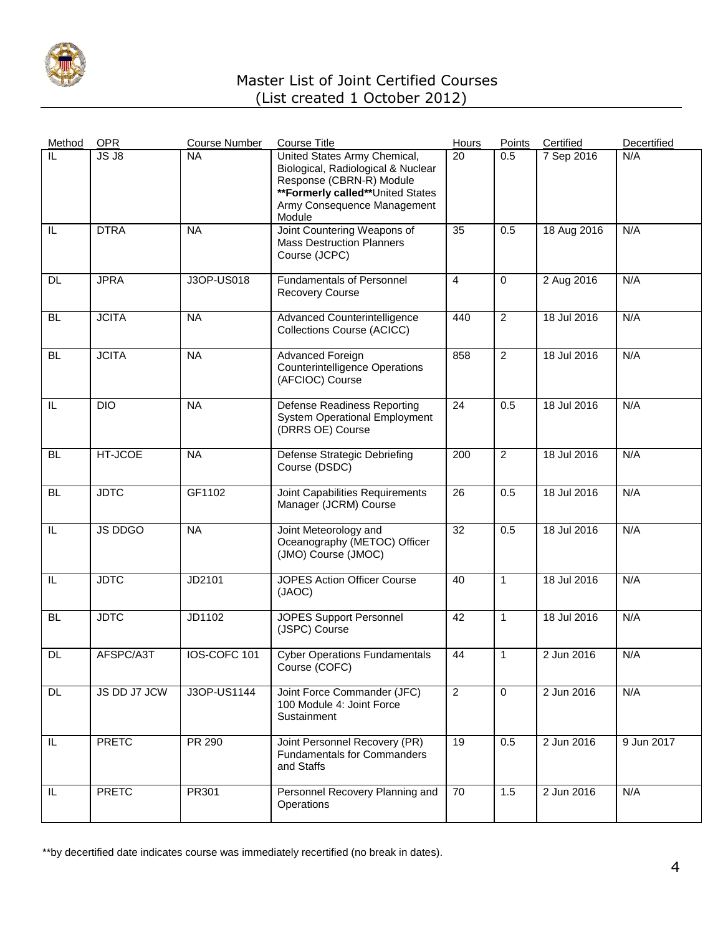

| Method          | <b>OPR</b>     | <b>Course Number</b> | <b>Course Title</b>                                                                                                                                                         | Hours          | Points         | Certified   | Decertified |
|-----------------|----------------|----------------------|-----------------------------------------------------------------------------------------------------------------------------------------------------------------------------|----------------|----------------|-------------|-------------|
| IL              | JS J8          | <b>NA</b>            | United States Army Chemical,<br>Biological, Radiological & Nuclear<br>Response (CBRN-R) Module<br>**Formerly called**United States<br>Army Consequence Management<br>Module | 20             | 0.5            | 7 Sep 2016  | N/A         |
| IL              | <b>DTRA</b>    | <b>NA</b>            | Joint Countering Weapons of<br><b>Mass Destruction Planners</b><br>Course (JCPC)                                                                                            | 35             | 0.5            | 18 Aug 2016 | N/A         |
| DL.             | <b>JPRA</b>    | J3OP-US018           | <b>Fundamentals of Personnel</b><br><b>Recovery Course</b>                                                                                                                  | $\overline{4}$ | $\mathbf 0$    | 2 Aug 2016  | N/A         |
| <b>BL</b>       | <b>JCITA</b>   | <b>NA</b>            | Advanced Counterintelligence<br>Collections Course (ACICC)                                                                                                                  | 440            | $\overline{2}$ | 18 Jul 2016 | N/A         |
| <b>BL</b>       | <b>JCITA</b>   | <b>NA</b>            | Advanced Foreign<br><b>Counterintelligence Operations</b><br>(AFCIOC) Course                                                                                                | 858            | $\overline{2}$ | 18 Jul 2016 | N/A         |
| IL              | <b>DIO</b>     | <b>NA</b>            | <b>Defense Readiness Reporting</b><br><b>System Operational Employment</b><br>(DRRS OE) Course                                                                              | 24             | 0.5            | 18 Jul 2016 | N/A         |
| BL              | HT-JCOE        | <b>NA</b>            | <b>Defense Strategic Debriefing</b><br>Course (DSDC)                                                                                                                        | 200            | $\overline{c}$ | 18 Jul 2016 | N/A         |
| <b>BL</b>       | <b>JDTC</b>    | GF1102               | Joint Capabilities Requirements<br>Manager (JCRM) Course                                                                                                                    | 26             | 0.5            | 18 Jul 2016 | N/A         |
| IL              | <b>JS DDGO</b> | <b>NA</b>            | Joint Meteorology and<br>Oceanography (METOC) Officer<br>(JMO) Course (JMOC)                                                                                                | 32             | 0.5            | 18 Jul 2016 | N/A         |
| IL              | <b>JDTC</b>    | <b>JD2101</b>        | <b>JOPES Action Officer Course</b><br>(JAOC)                                                                                                                                | 40             | $\mathbf{1}$   | 18 Jul 2016 | N/A         |
| <b>BL</b>       | <b>JDTC</b>    | JD1102               | <b>JOPES Support Personnel</b><br>(JSPC) Course                                                                                                                             | 42             | $\mathbf{1}$   | 18 Jul 2016 | N/A         |
| <b>DL</b>       | AFSPC/A3T      | IOS-COFC 101         | <b>Cyber Operations Fundamentals</b><br>Course (COFC)                                                                                                                       | 44             | 1              | 2 Jun 2016  | N/A         |
| $\overline{DL}$ | JS DD J7 JCW   | J3OP-US1144          | Joint Force Commander (JFC)<br>100 Module 4: Joint Force<br>Sustainment                                                                                                     | $\overline{2}$ | $\mathbf 0$    | 2 Jun 2016  | N/A         |
| IL.             | <b>PRETC</b>   | PR 290               | Joint Personnel Recovery (PR)<br><b>Fundamentals for Commanders</b><br>and Staffs                                                                                           | 19             | 0.5            | 2 Jun 2016  | 9 Jun 2017  |
| IL.             | <b>PRETC</b>   | <b>PR301</b>         | Personnel Recovery Planning and<br>Operations                                                                                                                               | 70             | 1.5            | 2 Jun 2016  | N/A         |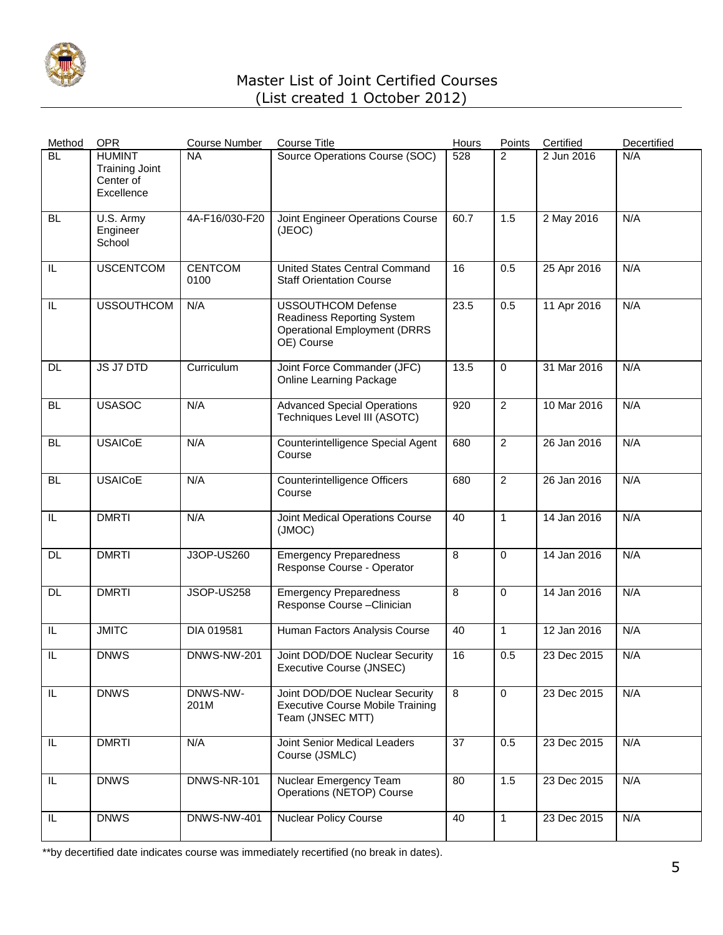

| Method        | <b>OPR</b>                                                        | <b>Course Number</b>   | <b>Course Title</b>                                                                                          | Hours          | Points         | Certified   | Decertified |
|---------------|-------------------------------------------------------------------|------------------------|--------------------------------------------------------------------------------------------------------------|----------------|----------------|-------------|-------------|
| <b>BL</b>     | <b>HUMINT</b><br><b>Training Joint</b><br>Center of<br>Excellence | <b>NA</b>              | Source Operations Course (SOC)                                                                               | 528            | 2              | 2 Jun 2016  | N/A         |
| <b>BL</b>     | U.S. Army<br>Engineer<br>School                                   | 4A-F16/030-F20         | Joint Engineer Operations Course<br>(JEOC)                                                                   | 60.7           | 1.5            | 2 May 2016  | N/A         |
| IL            | <b>USCENTCOM</b>                                                  | <b>CENTCOM</b><br>0100 | United States Central Command<br><b>Staff Orientation Course</b>                                             | 16             | 0.5            | 25 Apr 2016 | N/A         |
| IL            | <b>USSOUTHCOM</b>                                                 | N/A                    | <b>USSOUTHCOM Defense</b><br>Readiness Reporting System<br><b>Operational Employment (DRRS</b><br>OE) Course | 23.5           | 0.5            | 11 Apr 2016 | N/A         |
| DL            | JS J7 DTD                                                         | Curriculum             | Joint Force Commander (JFC)<br><b>Online Learning Package</b>                                                | 13.5           | $\Omega$       | 31 Mar 2016 | N/A         |
| <b>BL</b>     | <b>USASOC</b>                                                     | N/A                    | <b>Advanced Special Operations</b><br>Techniques Level III (ASOTC)                                           | 920            | $\overline{c}$ | 10 Mar 2016 | N/A         |
| <b>BL</b>     | <b>USAIC<sub>O</sub>E</b>                                         | N/A                    | Counterintelligence Special Agent<br>Course                                                                  | 680            | $\overline{2}$ | 26 Jan 2016 | N/A         |
| <b>BL</b>     | <b>USAIC<sub>O</sub>E</b>                                         | N/A                    | Counterintelligence Officers<br>Course                                                                       | 680            | $\overline{2}$ | 26 Jan 2016 | N/A         |
| IL            | <b>DMRTI</b>                                                      | N/A                    | Joint Medical Operations Course<br>(JMOC)                                                                    | 40             | $\mathbf{1}$   | 14 Jan 2016 | N/A         |
| DL            | <b>DMRTI</b>                                                      | J3OP-US260             | <b>Emergency Preparedness</b><br>Response Course - Operator                                                  | 8              | $\Omega$       | 14 Jan 2016 | N/A         |
| DL.           | <b>DMRTI</b>                                                      | JSOP-US258             | <b>Emergency Preparedness</b><br>Response Course-Clinician                                                   | 8              | $\Omega$       | 14 Jan 2016 | N/A         |
| IL            | <b>JMITC</b>                                                      | DIA 019581             | Human Factors Analysis Course                                                                                | 40             | $\mathbf{1}$   | 12 Jan 2016 | N/A         |
| IL            | <b>DNWS</b>                                                       | DNWS-NW-201            | Joint DOD/DOE Nuclear Security<br>Executive Course (JNSEC)                                                   | 16             | 0.5            | 23 Dec 2015 | N/A         |
| IL.           | <b>DNWS</b>                                                       | DNWS-NW-<br>201M       | Joint DOD/DOE Nuclear Security<br><b>Executive Course Mobile Training</b><br>Team (JNSEC MTT)                | $\overline{8}$ | $\mathbf 0$    | 23 Dec 2015 | N/A         |
| $\mathsf{IL}$ | <b>DMRTI</b>                                                      | N/A                    | Joint Senior Medical Leaders<br>Course (JSMLC)                                                               | 37             | 0.5            | 23 Dec 2015 | N/A         |
| IL            | <b>DNWS</b>                                                       | <b>DNWS-NR-101</b>     | Nuclear Emergency Team<br>Operations (NETOP) Course                                                          | 80             | 1.5            | 23 Dec 2015 | N/A         |
| IL            | <b>DNWS</b>                                                       | <b>DNWS-NW-401</b>     | <b>Nuclear Policy Course</b>                                                                                 | 40             | $\mathbf{1}$   | 23 Dec 2015 | N/A         |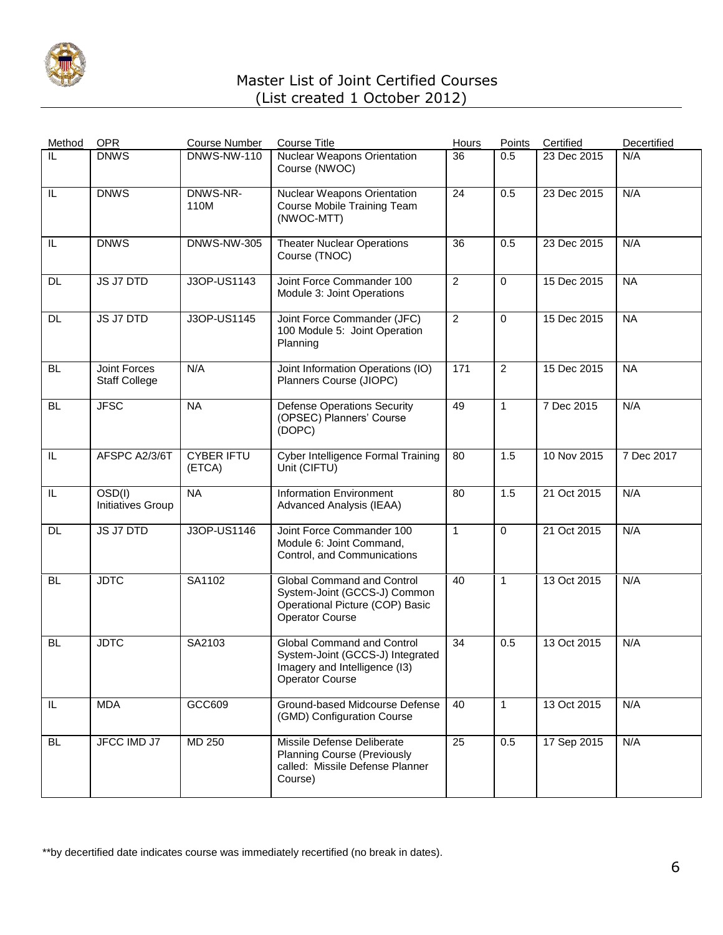

| Method    | <b>OPR</b>                                  | <b>Course Number</b>        | <b>Course Title</b>                                                                                                       | Hours          | Points         | Certified   | Decertified |
|-----------|---------------------------------------------|-----------------------------|---------------------------------------------------------------------------------------------------------------------------|----------------|----------------|-------------|-------------|
| IL        | <b>DNWS</b>                                 | <b>DNWS-NW-110</b>          | <b>Nuclear Weapons Orientation</b><br>Course (NWOC)                                                                       | 36             | 0.5            | 23 Dec 2015 | N/A         |
| IL        | <b>DNWS</b>                                 | DNWS-NR-<br>110M            | Nuclear Weapons Orientation<br>Course Mobile Training Team<br>(NWOC-MTT)                                                  | 24             | 0.5            | 23 Dec 2015 | N/A         |
| IL        | <b>DNWS</b>                                 | <b>DNWS-NW-305</b>          | <b>Theater Nuclear Operations</b><br>Course (TNOC)                                                                        | 36             | 0.5            | 23 Dec 2015 | N/A         |
| <b>DL</b> | <b>JS J7 DTD</b>                            | J3OP-US1143                 | Joint Force Commander 100<br>Module 3: Joint Operations                                                                   | $\overline{2}$ | $\Omega$       | 15 Dec 2015 | <b>NA</b>   |
| <b>DL</b> | JS J7 DTD                                   | J3OP-US1145                 | Joint Force Commander (JFC)<br>100 Module 5: Joint Operation<br>Planning                                                  | $\overline{2}$ | $\mathbf 0$    | 15 Dec 2015 | <b>NA</b>   |
| <b>BL</b> | <b>Joint Forces</b><br><b>Staff College</b> | N/A                         | Joint Information Operations (IO)<br>Planners Course (JIOPC)                                                              | 171            | $\overline{c}$ | 15 Dec 2015 | <b>NA</b>   |
| <b>BL</b> | <b>JFSC</b>                                 | <b>NA</b>                   | <b>Defense Operations Security</b><br>(OPSEC) Planners' Course<br>(DOPC)                                                  | 49             | $\mathbf{1}$   | 7 Dec 2015  | N/A         |
| IL        | AFSPC A2/3/6T                               | <b>CYBER IFTU</b><br>(ETCA) | Cyber Intelligence Formal Training<br>Unit (CIFTU)                                                                        | 80             | 1.5            | 10 Nov 2015 | 7 Dec 2017  |
| IL        | OSD(I)<br>Initiatives Group                 | <b>NA</b>                   | <b>Information Environment</b><br>Advanced Analysis (IEAA)                                                                | 80             | 1.5            | 21 Oct 2015 | N/A         |
| DL        | JS J7 DTD                                   | J3OP-US1146                 | Joint Force Commander 100<br>Module 6: Joint Command,<br>Control, and Communications                                      | $\mathbf{1}$   | $\Omega$       | 21 Oct 2015 | N/A         |
| <b>BL</b> | <b>JDTC</b>                                 | SA1102                      | Global Command and Control<br>System-Joint (GCCS-J) Common<br>Operational Picture (COP) Basic<br>Operator Course          | 40             | $\mathbf{1}$   | 13 Oct 2015 | N/A         |
| <b>BL</b> | <b>JDTC</b>                                 | SA2103                      | Global Command and Control<br>System-Joint (GCCS-J) Integrated<br>Imagery and Intelligence (13)<br><b>Operator Course</b> | 34             | 0.5            | 13 Oct 2015 | N/A         |
| IL        | <b>MDA</b>                                  | GCC609                      | Ground-based Midcourse Defense<br>(GMD) Configuration Course                                                              | 40             | $\mathbf{1}$   | 13 Oct 2015 | N/A         |
| <b>BL</b> | JFCC IMD J7                                 | <b>MD 250</b>               | Missile Defense Deliberate<br><b>Planning Course (Previously</b><br>called: Missile Defense Planner<br>Course)            | 25             | 0.5            | 17 Sep 2015 | N/A         |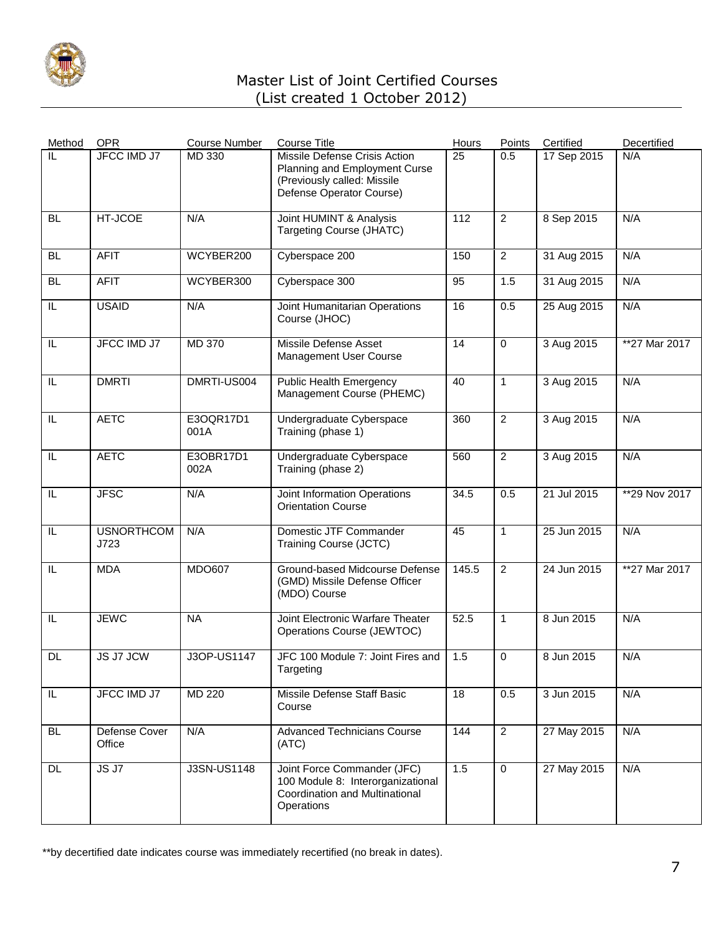

| Method                  | <b>OPR</b>                | <b>Course Number</b> | <b>Course Title</b>                                                                                                       | Hours | Points         | Certified   | Decertified    |
|-------------------------|---------------------------|----------------------|---------------------------------------------------------------------------------------------------------------------------|-------|----------------|-------------|----------------|
| IL                      | <b>JFCC IMD J7</b>        | MD 330               | Missile Defense Crisis Action<br>Planning and Employment Curse<br>(Previously called: Missile<br>Defense Operator Course) | 25    | 0.5            | 17 Sep 2015 | N/A            |
| <b>BL</b>               | HT-JCOE                   | N/A                  | Joint HUMINT & Analysis<br><b>Targeting Course (JHATC)</b>                                                                | 112   | $\overline{2}$ | 8 Sep 2015  | N/A            |
| <b>BL</b>               | <b>AFIT</b>               | WCYBER200            | Cyberspace 200                                                                                                            | 150   | $\overline{2}$ | 31 Aug 2015 | N/A            |
| <b>BL</b>               | <b>AFIT</b>               | WCYBER300            | Cyberspace 300                                                                                                            | 95    | 1.5            | 31 Aug 2015 | N/A            |
| IL                      | <b>USAID</b>              | N/A                  | Joint Humanitarian Operations<br>Course (JHOC)                                                                            | 16    | 0.5            | 25 Aug 2015 | N/A            |
| IL                      | <b>JFCC IMD J7</b>        | <b>MD 370</b>        | Missile Defense Asset<br>Management User Course                                                                           | 14    | $\mathbf 0$    | 3 Aug 2015  | $*27$ Mar 2017 |
| $\overline{\mathbb{L}}$ | <b>DMRTI</b>              | DMRTI-US004          | <b>Public Health Emergency</b><br>Management Course (PHEMC)                                                               | 40    | $\mathbf{1}$   | 3 Aug 2015  | N/A            |
| IL                      | <b>AETC</b>               | E3OQR17D1<br>001A    | Undergraduate Cyberspace<br>Training (phase 1)                                                                            | 360   | $\overline{2}$ | 3 Aug 2015  | N/A            |
| IL                      | <b>AETC</b>               | E3OBR17D1<br>002A    | Undergraduate Cyberspace<br>Training (phase 2)                                                                            | 560   | $\overline{2}$ | 3 Aug 2015  | N/A            |
| $\overline{\mathbb{L}}$ | <b>JFSC</b>               | N/A                  | Joint Information Operations<br><b>Orientation Course</b>                                                                 | 34.5  | 0.5            | 21 Jul 2015 | **29 Nov 2017  |
| IL                      | <b>USNORTHCOM</b><br>J723 | N/A                  | Domestic JTF Commander<br>Training Course (JCTC)                                                                          | 45    | $\mathbf{1}$   | 25 Jun 2015 | N/A            |
| IL                      | <b>MDA</b>                | <b>MDO607</b>        | Ground-based Midcourse Defense<br>(GMD) Missile Defense Officer<br>(MDO) Course                                           | 145.5 | $\overline{2}$ | 24 Jun 2015 | **27 Mar 2017  |
| IL                      | <b>JEWC</b>               | <b>NA</b>            | Joint Electronic Warfare Theater<br>Operations Course (JEWTOC)                                                            | 52.5  | $\mathbf{1}$   | 8 Jun 2015  | N/A            |
| <b>DL</b>               | <b>JS J7 JCW</b>          | J3OP-US1147          | JFC 100 Module 7: Joint Fires and<br>Targeting                                                                            | 1.5   | $\mathbf 0$    | 8 Jun 2015  | N/A            |
| $\overline{\mathbb{L}}$ | <b>JFCC IMD J7</b>        | MD 220               | Missile Defense Staff Basic<br>Course                                                                                     | 18    | 0.5            | 3 Jun 2015  | N/A            |
| <b>BL</b>               | Defense Cover<br>Office   | N/A                  | <b>Advanced Technicians Course</b><br>(ATC)                                                                               | 144   | $\overline{2}$ | 27 May 2015 | N/A            |
| <b>DL</b>               | JSJ7                      | <b>J3SN-US1148</b>   | Joint Force Commander (JFC)<br>100 Module 8: Interorganizational<br>Coordination and Multinational<br>Operations          | 1.5   | $\overline{0}$ | 27 May 2015 | N/A            |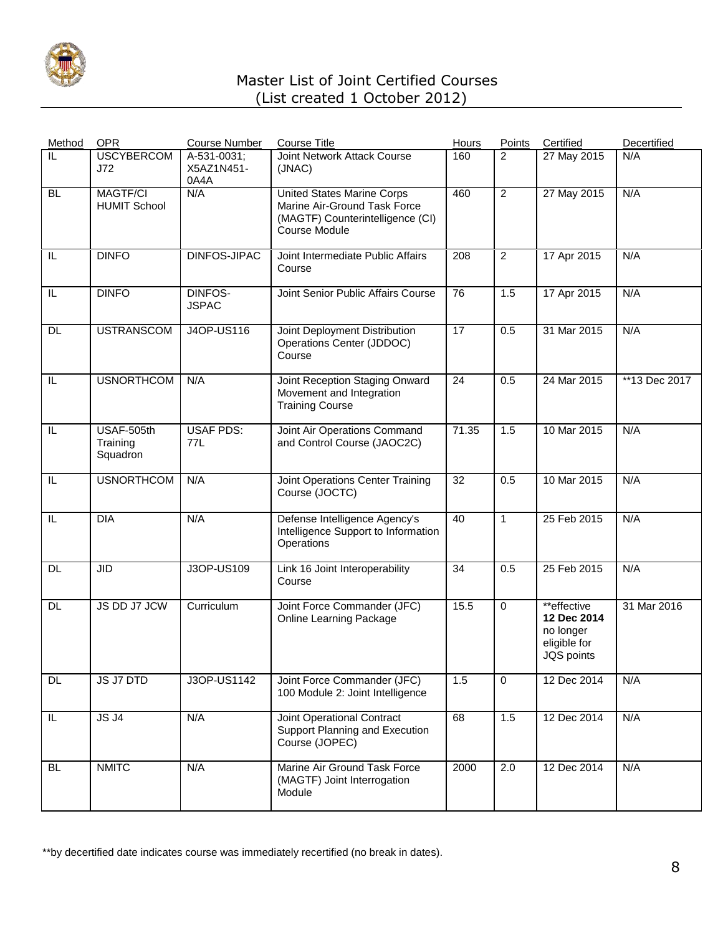

| Method    | <b>OPR</b>                             | <b>Course Number</b>              | <b>Course Title</b>                                                                                                    | Hours | Points         | Certified                                                             | Decertified   |
|-----------|----------------------------------------|-----------------------------------|------------------------------------------------------------------------------------------------------------------------|-------|----------------|-----------------------------------------------------------------------|---------------|
| IL        | <b>USCYBERCOM</b><br>J72               | A-531-0031;<br>X5AZ1N451-<br>0A4A | Joint Network Attack Course<br>(JNAC)                                                                                  | 160   | 2              | 27 May 2015                                                           | N/A           |
| <b>BL</b> | <b>MAGTF/CI</b><br><b>HUMIT School</b> | N/A                               | <b>United States Marine Corps</b><br>Marine Air-Ground Task Force<br>(MAGTF) Counterintelligence (CI)<br>Course Module | 460   | $\overline{2}$ | 27 May 2015                                                           | N/A           |
| IL        | <b>DINFO</b>                           | <b>DINFOS-JIPAC</b>               | Joint Intermediate Public Affairs<br>Course                                                                            | 208   | $\overline{2}$ | 17 Apr 2015                                                           | N/A           |
| IL        | <b>DINFO</b>                           | DINFOS-<br><b>JSPAC</b>           | Joint Senior Public Affairs Course                                                                                     | 76    | 1.5            | 17 Apr 2015                                                           | N/A           |
| <b>DL</b> | <b>USTRANSCOM</b>                      | <b>J4OP-US116</b>                 | Joint Deployment Distribution<br>Operations Center (JDDOC)<br>Course                                                   | 17    | 0.5            | 31 Mar 2015                                                           | N/A           |
| IL        | <b>USNORTHCOM</b>                      | N/A                               | Joint Reception Staging Onward<br>Movement and Integration<br><b>Training Course</b>                                   | 24    | 0.5            | 24 Mar 2015                                                           | **13 Dec 2017 |
| IL        | USAF-505th<br>Training<br>Squadron     | <b>USAF PDS:</b><br>77L           | Joint Air Operations Command<br>and Control Course (JAOC2C)                                                            | 71.35 | 1.5            | 10 Mar 2015                                                           | N/A           |
| IL        | <b>USNORTHCOM</b>                      | N/A                               | <b>Joint Operations Center Training</b><br>Course (JOCTC)                                                              | 32    | 0.5            | 10 Mar 2015                                                           | N/A           |
| IL        | <b>DIA</b>                             | N/A                               | Defense Intelligence Agency's<br>Intelligence Support to Information<br>Operations                                     | 40    | $\mathbf{1}$   | 25 Feb 2015                                                           | N/A           |
| <b>DL</b> | $\overline{\mathsf{JID}}$              | J3OP-US109                        | Link 16 Joint Interoperability<br>Course                                                                               | 34    | 0.5            | 25 Feb 2015                                                           | N/A           |
| DL        | JS DD J7 JCW                           | Curriculum                        | Joint Force Commander (JFC)<br><b>Online Learning Package</b>                                                          | 15.5  | $\mathbf 0$    | **effective<br>12 Dec 2014<br>no longer<br>eligible for<br>JQS points | 31 Mar 2016   |
| <b>DL</b> | JS J7 DTD                              | J3OP-US1142                       | Joint Force Commander (JFC)<br>100 Module 2: Joint Intelligence                                                        | 1.5   | $\mathbf 0$    | 12 Dec 2014                                                           | N/A           |
| IL.       | $JS$ $J4$                              | N/A                               | Joint Operational Contract<br>Support Planning and Execution<br>Course (JOPEC)                                         | 68    | 1.5            | 12 Dec 2014                                                           | N/A           |
| <b>BL</b> | <b>NMITC</b>                           | N/A                               | Marine Air Ground Task Force<br>(MAGTF) Joint Interrogation<br>Module                                                  | 2000  | 2.0            | 12 Dec 2014                                                           | N/A           |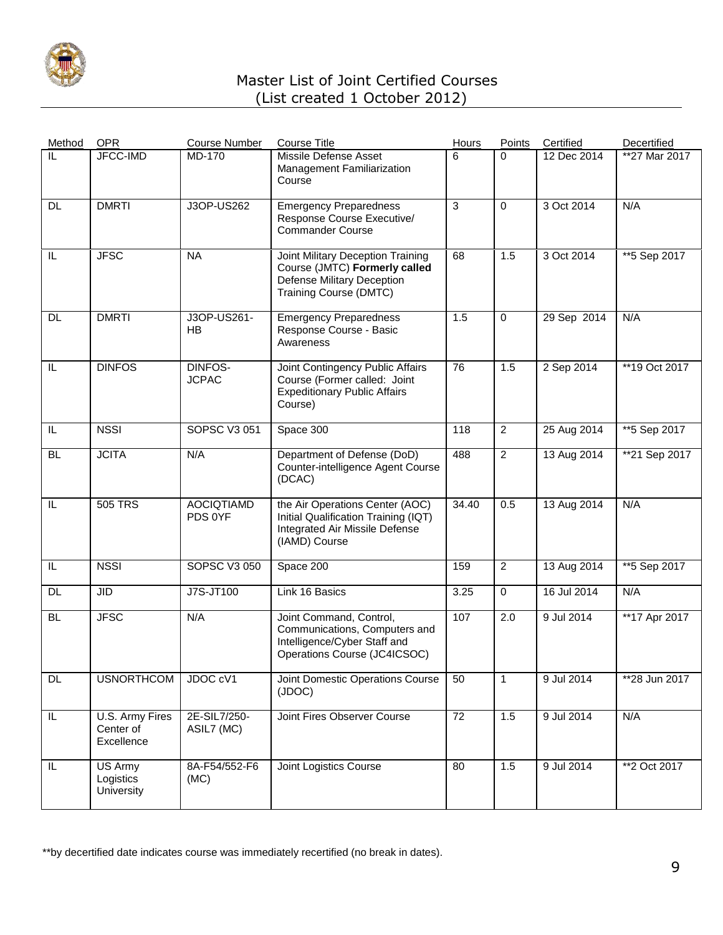

| Method    | <b>OPR</b>                                 | <b>Course Number</b>         | <b>Course Title</b>                                                                                                        | Hours | Points         | Certified                | Decertified   |
|-----------|--------------------------------------------|------------------------------|----------------------------------------------------------------------------------------------------------------------------|-------|----------------|--------------------------|---------------|
| IL        | JFCC-IMD                                   | MD-170                       | Missile Defense Asset<br>Management Familiarization<br>Course                                                              | 6     | $\Omega$       | $\overline{12}$ Dec 2014 | **27 Mar 2017 |
| DL        | <b>DMRTI</b>                               | J3OP-US262                   | <b>Emergency Preparedness</b><br>Response Course Executive/<br><b>Commander Course</b>                                     | 3     | $\mathbf 0$    | 3 Oct 2014               | N/A           |
| IL        | <b>JFSC</b>                                | <b>NA</b>                    | Joint Military Deception Training<br>Course (JMTC) Formerly called<br>Defense Military Deception<br>Training Course (DMTC) | 68    | 1.5            | 3 Oct 2014               | ** 5 Sep 2017 |
| DL        | <b>DMRTI</b>                               | J3OP-US261-<br><b>HB</b>     | <b>Emergency Preparedness</b><br>Response Course - Basic<br>Awareness                                                      | 1.5   | $\mathbf 0$    | 29 Sep 2014              | N/A           |
| IL        | <b>DINFOS</b>                              | DINFOS-<br><b>JCPAC</b>      | Joint Contingency Public Affairs<br>Course (Former called: Joint<br><b>Expeditionary Public Affairs</b><br>Course)         | 76    | 1.5            | 2 Sep 2014               | **19 Oct 2017 |
| IL        | <b>NSSI</b>                                | <b>SOPSC V3 051</b>          | Space 300                                                                                                                  | 118   | $\overline{c}$ | 25 Aug 2014              | **5 Sep 2017  |
| <b>BL</b> | <b>JCITA</b>                               | N/A                          | Department of Defense (DoD)<br>Counter-intelligence Agent Course<br>(DCAC)                                                 | 488   | $\overline{2}$ | 13 Aug 2014              | **21 Sep 2017 |
| IL        | 505 TRS                                    | <b>AOCIQTIAMD</b><br>PDS 0YF | the Air Operations Center (AOC)<br>Initial Qualification Training (IQT)<br>Integrated Air Missile Defense<br>(IAMD) Course | 34.40 | 0.5            | 13 Aug 2014              | N/A           |
| IL        | <b>NSSI</b>                                | <b>SOPSC V3 050</b>          | Space 200                                                                                                                  | 159   | $\overline{2}$ | 13 Aug 2014              | **5 Sep 2017  |
| <b>DL</b> | <b>JID</b>                                 | <b>J7S-JT100</b>             | Link 16 Basics                                                                                                             | 3.25  | $\mathbf 0$    | 16 Jul 2014              | N/A           |
| <b>BL</b> | <b>JFSC</b>                                | N/A                          | Joint Command, Control,<br>Communications, Computers and<br>Intelligence/Cyber Staff and<br>Operations Course (JC4ICSOC)   | 107   | 2.0            | 9 Jul 2014               | **17 Apr 2017 |
| <b>DL</b> | <b>USNORTHCOM</b>                          | JDOC cV1                     | Joint Domestic Operations Course<br>(JDOC)                                                                                 | 50    | $\mathbf{1}$   | 9 Jul 2014               | **28 Jun 2017 |
| $\sf IL$  | U.S. Army Fires<br>Center of<br>Excellence | 2E-SIL7/250-<br>ASIL7 (MC)   | Joint Fires Observer Course                                                                                                | 72    | 1.5            | 9 Jul 2014               | N/A           |
| IL        | US Army<br>Logistics<br>University         | 8A-F54/552-F6<br>(MC)        | Joint Logistics Course                                                                                                     | 80    | 1.5            | 9 Jul 2014               | **2 Oct 2017  |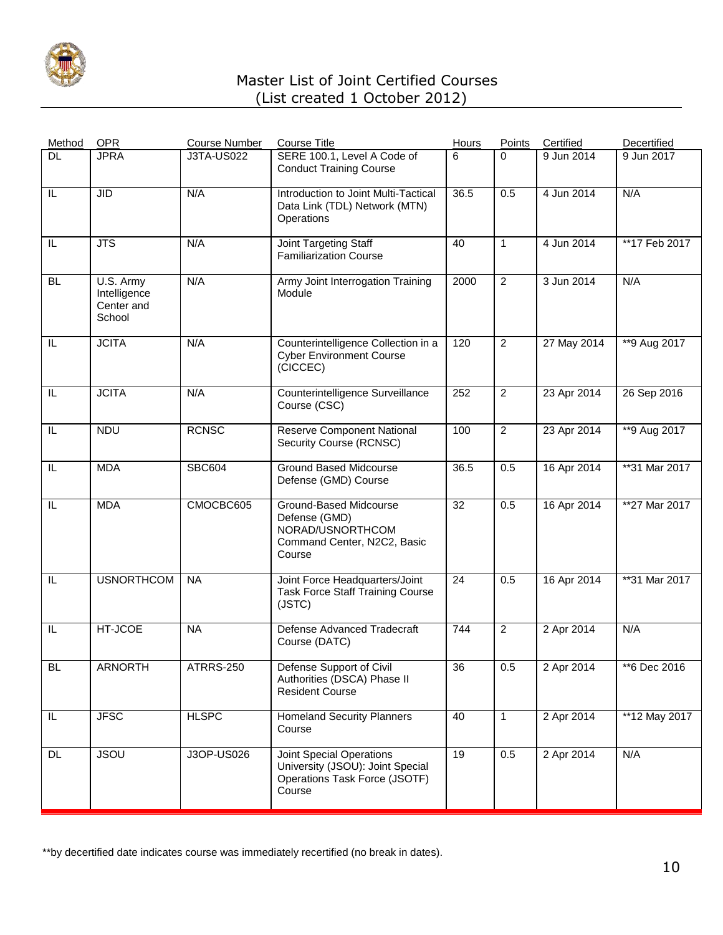

| Method    | <b>OPR</b>                                        | <b>Course Number</b> | <b>Course Title</b>                                                                                            | <b>Hours</b> | Points         | Certified   | Decertified   |
|-----------|---------------------------------------------------|----------------------|----------------------------------------------------------------------------------------------------------------|--------------|----------------|-------------|---------------|
| <b>DL</b> | <b>JPRA</b>                                       | <b>J3TA-US022</b>    | SERE 100.1, Level A Code of<br><b>Conduct Training Course</b>                                                  | 6            | $\Omega$       | 9 Jun 2014  | 9 Jun 2017    |
| IL        | <b>JID</b>                                        | N/A                  | Introduction to Joint Multi-Tactical<br>Data Link (TDL) Network (MTN)<br>Operations                            | 36.5         | 0.5            | 4 Jun 2014  | N/A           |
| IL        | <b>JTS</b>                                        | N/A                  | Joint Targeting Staff<br><b>Familiarization Course</b>                                                         | 40           | $\mathbf{1}$   | 4 Jun 2014  | **17 Feb 2017 |
| <b>BL</b> | U.S. Army<br>Intelligence<br>Center and<br>School | N/A                  | Army Joint Interrogation Training<br>Module                                                                    | 2000         | $\overline{2}$ | 3 Jun 2014  | N/A           |
| IL        | <b>JCITA</b>                                      | N/A                  | Counterintelligence Collection in a<br><b>Cyber Environment Course</b><br>(CICCEC)                             | 120          | $\overline{2}$ | 27 May 2014 | **9 Aug 2017  |
| IL        | <b>JCITA</b>                                      | N/A                  | Counterintelligence Surveillance<br>Course (CSC)                                                               | 252          | $\overline{2}$ | 23 Apr 2014 | 26 Sep 2016   |
| IL        | <b>NDU</b>                                        | <b>RCNSC</b>         | <b>Reserve Component National</b><br>Security Course (RCNSC)                                                   | 100          | $\overline{c}$ | 23 Apr 2014 | **9 Aug 2017  |
| IL        | <b>MDA</b>                                        | <b>SBC604</b>        | <b>Ground Based Midcourse</b><br>Defense (GMD) Course                                                          | 36.5         | 0.5            | 16 Apr 2014 | **31 Mar 2017 |
| IL        | <b>MDA</b>                                        | CMOCBC605            | Ground-Based Midcourse<br>Defense (GMD)<br>NORAD/USNORTHCOM<br>Command Center, N2C2, Basic<br>Course           | 32           | 0.5            | 16 Apr 2014 | **27 Mar 2017 |
| IL        | <b>USNORTHCOM</b>                                 | <b>NA</b>            | Joint Force Headquarters/Joint<br><b>Task Force Staff Training Course</b><br>(JSTC)                            | 24           | 0.5            | 16 Apr 2014 | **31 Mar 2017 |
| IL        | HT-JCOE                                           | <b>NA</b>            | <b>Defense Advanced Tradecraft</b><br>Course (DATC)                                                            | 744          | 2              | 2 Apr 2014  | N/A           |
| BL        | ARNORTH                                           | ATRRS-250            | Defense Support of Civil<br>Authorities (DSCA) Phase II<br><b>Resident Course</b>                              | 36           | 0.5            | 2 Apr 2014  | **6 Dec 2016  |
| IL.       | <b>JFSC</b>                                       | <b>HLSPC</b>         | <b>Homeland Security Planners</b><br>Course                                                                    | 40           | $\mathbf{1}$   | 2 Apr 2014  | **12 May 2017 |
| <b>DL</b> | <b>JSOU</b>                                       | J3OP-US026           | <b>Joint Special Operations</b><br>University (JSOU): Joint Special<br>Operations Task Force (JSOTF)<br>Course | 19           | 0.5            | 2 Apr 2014  | N/A           |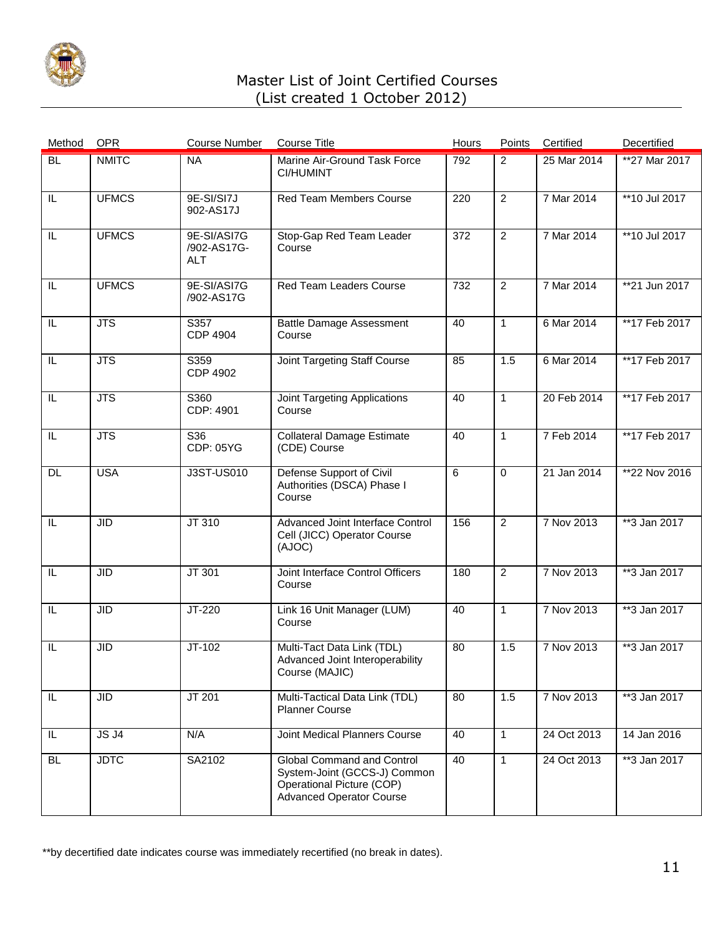

| Method                  | <b>OPR</b>              | <b>Course Number</b>                     | <b>Course Title</b>                                                                                                        | <b>Hours</b> | Points         | Certified   | Decertified      |
|-------------------------|-------------------------|------------------------------------------|----------------------------------------------------------------------------------------------------------------------------|--------------|----------------|-------------|------------------|
| <b>BL</b>               | <b>NMITC</b>            | <b>NA</b>                                | Marine Air-Ground Task Force<br><b>CI/HUMINT</b>                                                                           | 792          | $\overline{2}$ | 25 Mar 2014 | **27 Mar 2017    |
| IL                      | <b>UFMCS</b>            | 9E-SI/SI7J<br>902-AS17J                  | Red Team Members Course                                                                                                    | 220          | $\overline{2}$ | 7 Mar 2014  | **10 Jul 2017    |
| IL                      | <b>UFMCS</b>            | 9E-SI/ASI7G<br>/902-AS17G-<br><b>ALT</b> | Stop-Gap Red Team Leader<br>Course                                                                                         | 372          | $\overline{2}$ | 7 Mar 2014  | **10 Jul 2017    |
| IL                      | <b>UFMCS</b>            | 9E-SI/ASI7G<br>/902-AS17G                | <b>Red Team Leaders Course</b>                                                                                             | 732          | $\overline{2}$ | 7 Mar 2014  | **21 Jun 2017    |
| IL                      | $\overline{\text{JTS}}$ | S357<br><b>CDP 4904</b>                  | <b>Battle Damage Assessment</b><br>Course                                                                                  | 40           | $\mathbf{1}$   | 6 Mar 2014  | **17 Feb 2017    |
| IL                      | <b>JTS</b>              | S359<br><b>CDP 4902</b>                  | Joint Targeting Staff Course                                                                                               | 85           | 1.5            | 6 Mar 2014  | **17 Feb 2017    |
| IL                      | $\overline{\text{JTS}}$ | S360<br>CDP: 4901                        | Joint Targeting Applications<br>Course                                                                                     | 40           | $\mathbf{1}$   | 20 Feb 2014 | **17 Feb 2017    |
| IL                      | <b>JTS</b>              | S36<br>CDP: 05YG                         | <b>Collateral Damage Estimate</b><br>(CDE) Course                                                                          | 40           | $\mathbf{1}$   | 7 Feb 2014  | **17 Feb 2017    |
| DL                      | <b>USA</b>              | <b>J3ST-US010</b>                        | Defense Support of Civil<br>Authorities (DSCA) Phase I<br>Course                                                           | 6            | $\mathbf 0$    | 21 Jan 2014 | **22 Nov 2016    |
| $\overline{\mathbb{L}}$ | <b>JID</b>              | JT 310                                   | Advanced Joint Interface Control<br>Cell (JICC) Operator Course<br>(AJOC)                                                  | 156          | $\overline{2}$ | 7 Nov 2013  | $*3$ Jan 2017    |
| IL                      | <b>JID</b>              | JT 301                                   | Joint Interface Control Officers<br>Course                                                                                 | 180          | $\overline{2}$ | 7 Nov 2013  | $*$ $3$ Jan 2017 |
| IL                      | <b>JID</b>              | JT-220                                   | Link 16 Unit Manager (LUM)<br>Course                                                                                       | 40           | 1              | 7 Nov 2013  | **3 Jan 2017     |
| $\overline{\mathbb{L}}$ | <b>JID</b>              | $JT-102$                                 | Multi-Tact Data Link (TDL)<br>Advanced Joint Interoperability<br>Course (MAJIC)                                            | 80           | 1.5            | 7 Nov 2013  | $*3$ Jan 2017    |
| IL.                     | <b>JID</b>              | JT 201                                   | Multi-Tactical Data Link (TDL)<br><b>Planner Course</b>                                                                    | 80           | 1.5            | 7 Nov 2013  | **3 Jan 2017     |
| IL.                     | JSJ4                    | N/A                                      | Joint Medical Planners Course                                                                                              | 40           | $\mathbf{1}$   | 24 Oct 2013 | 14 Jan 2016      |
| <b>BL</b>               | <b>JDTC</b>             | SA2102                                   | Global Command and Control<br>System-Joint (GCCS-J) Common<br>Operational Picture (COP)<br><b>Advanced Operator Course</b> | 40           | $\mathbf{1}$   | 24 Oct 2013 | $**3$ Jan 2017   |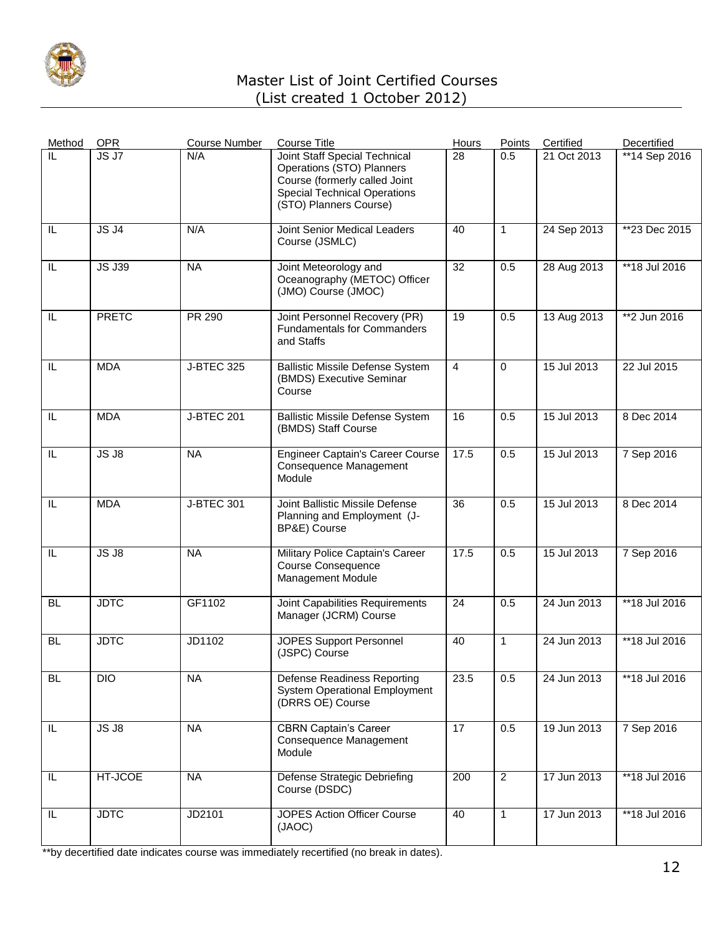

| Method    | <b>OPR</b>    | <b>Course Number</b> | <b>Course Title</b>                                                                                                                                          | Hours           | Points         | Certified   | Decertified     |
|-----------|---------------|----------------------|--------------------------------------------------------------------------------------------------------------------------------------------------------------|-----------------|----------------|-------------|-----------------|
| IL        | JS J7         | N/A                  | Joint Staff Special Technical<br>Operations (STO) Planners<br>Course (formerly called Joint<br><b>Special Technical Operations</b><br>(STO) Planners Course) | 28              | 0.5            | 21 Oct 2013 | **14 Sep 2016   |
| IL        | JSJ4          | N/A                  | Joint Senior Medical Leaders<br>Course (JSMLC)                                                                                                               | 40              | 1              | 24 Sep 2013 | **23 Dec 2015   |
| IL        | <b>JS J39</b> | <b>NA</b>            | Joint Meteorology and<br>Oceanography (METOC) Officer<br>(JMO) Course (JMOC)                                                                                 | $\overline{32}$ | 0.5            | 28 Aug 2013 | **18 Jul 2016   |
| IL        | <b>PRETC</b>  | <b>PR 290</b>        | Joint Personnel Recovery (PR)<br><b>Fundamentals for Commanders</b><br>and Staffs                                                                            | 19              | 0.5            | 13 Aug 2013 | **2 Jun 2016    |
| IL        | <b>MDA</b>    | <b>J-BTEC 325</b>    | <b>Ballistic Missile Defense System</b><br>(BMDS) Executive Seminar<br>Course                                                                                | $\overline{4}$  | $\mathbf 0$    | 15 Jul 2013 | 22 Jul 2015     |
| IL        | <b>MDA</b>    | <b>J-BTEC 201</b>    | <b>Ballistic Missile Defense System</b><br>(BMDS) Staff Course                                                                                               | 16              | 0.5            | 15 Jul 2013 | 8 Dec 2014      |
| IL        | JS J8         | <b>NA</b>            | <b>Engineer Captain's Career Course</b><br>Consequence Management<br>Module                                                                                  | 17.5            | 0.5            | 15 Jul 2013 | 7 Sep 2016      |
| IL        | <b>MDA</b>    | <b>J-BTEC 301</b>    | Joint Ballistic Missile Defense<br>Planning and Employment (J-<br>BP&E) Course                                                                               | 36              | 0.5            | 15 Jul 2013 | 8 Dec 2014      |
| IL        | JS J8         | <b>NA</b>            | Military Police Captain's Career<br><b>Course Consequence</b><br>Management Module                                                                           | 17.5            | 0.5            | 15 Jul 2013 | 7 Sep 2016      |
| <b>BL</b> | <b>JDTC</b>   | GF1102               | Joint Capabilities Requirements<br>Manager (JCRM) Course                                                                                                     | 24              | 0.5            | 24 Jun 2013 | **18 Jul 2016   |
| <b>BL</b> | <b>JDTC</b>   | JD1102               | <b>JOPES Support Personnel</b><br>(JSPC) Course                                                                                                              | 40              | 1              | 24 Jun 2013 | $*$ 18 Jul 2016 |
| <b>BL</b> | <b>DIO</b>    | <b>NA</b>            | <b>Defense Readiness Reporting</b><br><b>System Operational Employment</b><br>(DRRS OE) Course                                                               | 23.5            | 0.5            | 24 Jun 2013 | **18 Jul 2016   |
| IL        | $JS$ $JS$     | <b>NA</b>            | <b>CBRN Captain's Career</b><br>Consequence Management<br>Module                                                                                             | 17              | 0.5            | 19 Jun 2013 | 7 Sep 2016      |
| IL        | HT-JCOE       | <b>NA</b>            | Defense Strategic Debriefing<br>Course (DSDC)                                                                                                                | 200             | $\overline{2}$ | 17 Jun 2013 | **18 Jul 2016   |
| $\sf IL$  | <b>JDTC</b>   | JD2101               | JOPES Action Officer Course<br>(JAOC)                                                                                                                        | 40              | 1              | 17 Jun 2013 | $*$ 18 Jul 2016 |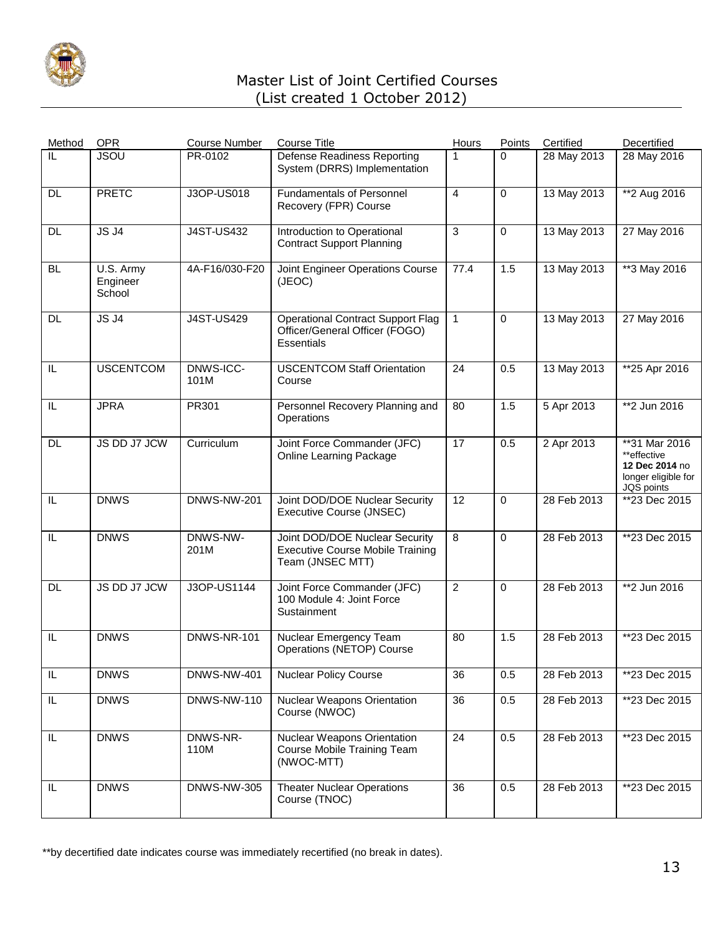

| Method    | <b>OPR</b>                      | <b>Course Number</b> | <b>Course Title</b>                                                                           | Hours          | Points      | Certified   | Decertified                                                                         |
|-----------|---------------------------------|----------------------|-----------------------------------------------------------------------------------------------|----------------|-------------|-------------|-------------------------------------------------------------------------------------|
| IL        | <b>JSOU</b>                     | PR-0102              | <b>Defense Readiness Reporting</b><br>System (DRRS) Implementation                            | 1              | $\Omega$    | 28 May 2013 | 28 May 2016                                                                         |
| DL.       | <b>PRETC</b>                    | J3OP-US018           | <b>Fundamentals of Personnel</b><br>Recovery (FPR) Course                                     | 4              | 0           | 13 May 2013 | **2 Aug 2016                                                                        |
| DL.       | JSJ4                            | <b>J4ST-US432</b>    | Introduction to Operational<br><b>Contract Support Planning</b>                               | 3              | $\mathbf 0$ | 13 May 2013 | 27 May 2016                                                                         |
| <b>BL</b> | U.S. Army<br>Engineer<br>School | 4A-F16/030-F20       | Joint Engineer Operations Course<br>(JEOC)                                                    | 77.4           | 1.5         | 13 May 2013 | **3 May 2016                                                                        |
| DL        | <b>JS J4</b>                    | <b>J4ST-US429</b>    | <b>Operational Contract Support Flag</b><br>Officer/General Officer (FOGO)<br>Essentials      | $\mathbf{1}$   | 0           | 13 May 2013 | 27 May 2016                                                                         |
| IL        | <b>USCENTCOM</b>                | DNWS-ICC-<br>101M    | <b>USCENTCOM Staff Orientation</b><br>Course                                                  | 24             | 0.5         | 13 May 2013 | **25 Apr 2016                                                                       |
| IL        | <b>JPRA</b>                     | PR301                | Personnel Recovery Planning and<br>Operations                                                 | 80             | 1.5         | 5 Apr 2013  | **2 Jun 2016                                                                        |
| <b>DL</b> | JS DD J7 JCW                    | Curriculum           | Joint Force Commander (JFC)<br><b>Online Learning Package</b>                                 | 17             | 0.5         | 2 Apr 2013  | **31 Mar 2016<br>**effective<br>12 Dec 2014 no<br>longer eligible for<br>JQS points |
| IL        | <b>DNWS</b>                     | <b>DNWS-NW-201</b>   | Joint DOD/DOE Nuclear Security<br>Executive Course (JNSEC)                                    | 12             | 0           | 28 Feb 2013 | **23 Dec 2015                                                                       |
| IL        | <b>DNWS</b>                     | DNWS-NW-<br>201M     | Joint DOD/DOE Nuclear Security<br><b>Executive Course Mobile Training</b><br>Team (JNSEC MTT) | $\overline{8}$ | $\Omega$    | 28 Feb 2013 | **23 Dec 2015                                                                       |
| DL        | JS DD J7 JCW                    | J3OP-US1144          | Joint Force Commander (JFC)<br>100 Module 4: Joint Force<br>Sustainment                       | $\overline{2}$ | $\mathbf 0$ | 28 Feb 2013 | **2 Jun 2016                                                                        |
| IL        | <b>DNWS</b>                     | <b>DNWS-NR-101</b>   | Nuclear Emergency Team<br>Operations (NETOP) Course                                           | 80             | 1.5         | 28 Feb 2013 | **23 Dec 2015                                                                       |
| $\sf IL$  | <b>DNWS</b>                     | <b>DNWS-NW-401</b>   | <b>Nuclear Policy Course</b>                                                                  | 36             | 0.5         | 28 Feb 2013 | **23 Dec 2015                                                                       |
| IL.       | <b>DNWS</b>                     | <b>DNWS-NW-110</b>   | <b>Nuclear Weapons Orientation</b><br>Course (NWOC)                                           | 36             | 0.5         | 28 Feb 2013 | **23 Dec 2015                                                                       |
| IL        | <b>DNWS</b>                     | DNWS-NR-<br>110M     | <b>Nuclear Weapons Orientation</b><br>Course Mobile Training Team<br>(NWOC-MTT)               | 24             | 0.5         | 28 Feb 2013 | **23 Dec 2015                                                                       |
| IL        | <b>DNWS</b>                     | <b>DNWS-NW-305</b>   | <b>Theater Nuclear Operations</b><br>Course (TNOC)                                            | 36             | 0.5         | 28 Feb 2013 | **23 Dec 2015                                                                       |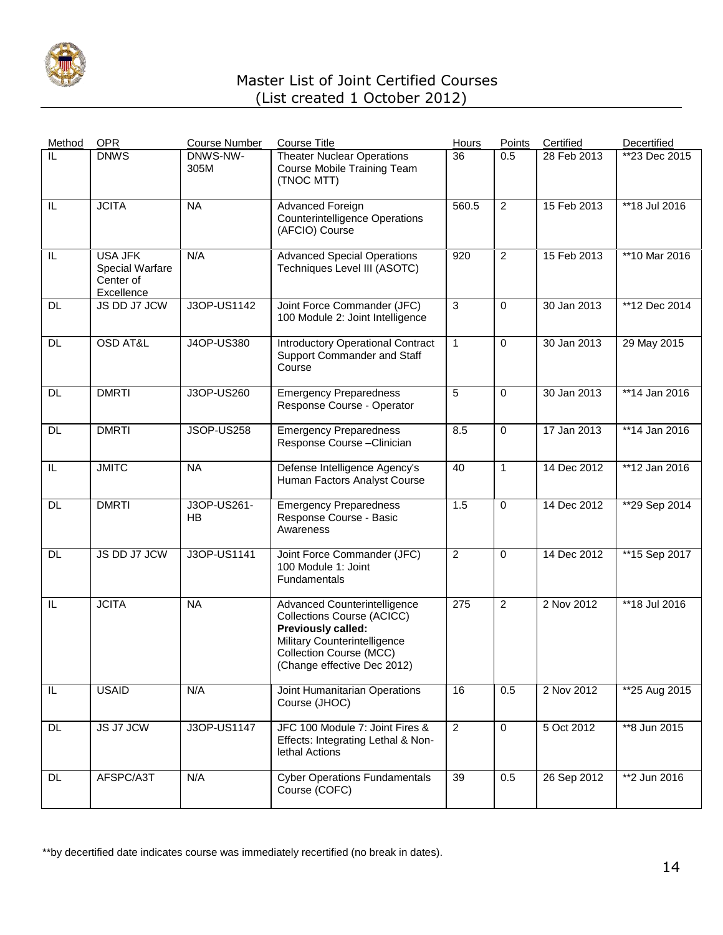

| Method    | <b>OPR</b>                                                   | <b>Course Number</b> | <b>Course Title</b>                                                                                                                                                               | <b>Hours</b>   | Points         | Certified                | Decertified     |
|-----------|--------------------------------------------------------------|----------------------|-----------------------------------------------------------------------------------------------------------------------------------------------------------------------------------|----------------|----------------|--------------------------|-----------------|
| IL        | <b>DNWS</b>                                                  | DNWS-NW-<br>305M     | <b>Theater Nuclear Operations</b><br>Course Mobile Training Team<br>(TNOC MTT)                                                                                                    | 36             | 0.5            | 28 Feb 2013              | **23 Dec 2015   |
| IL        | <b>JCITA</b>                                                 | <b>NA</b>            | Advanced Foreign<br><b>Counterintelligence Operations</b><br>(AFCIO) Course                                                                                                       | 560.5          | $\overline{2}$ | 15 Feb 2013              | **18 Jul 2016   |
| IL        | <b>USA JFK</b><br>Special Warfare<br>Center of<br>Excellence | N/A                  | <b>Advanced Special Operations</b><br>Techniques Level III (ASOTC)                                                                                                                | 920            | $\overline{2}$ | 15 Feb 2013              | **10 Mar 2016   |
| <b>DL</b> | JS DD J7 JCW                                                 | J3OP-US1142          | Joint Force Commander (JFC)<br>100 Module 2: Joint Intelligence                                                                                                                   | 3              | $\mathbf 0$    | 30 Jan 2013              | **12 Dec 2014   |
| <b>DL</b> | <b>OSD AT&amp;L</b>                                          | J4OP-US380           | <b>Introductory Operational Contract</b><br>Support Commander and Staff<br>Course                                                                                                 | $\mathbf{1}$   | $\mathbf 0$    | 30 Jan 2013              | 29 May 2015     |
| <b>DL</b> | <b>DMRTI</b>                                                 | J3OP-US260           | <b>Emergency Preparedness</b><br>Response Course - Operator                                                                                                                       | 5              | $\Omega$       | $\overline{30}$ Jan 2013 | $*$ 14 Jan 2016 |
| <b>DL</b> | <b>DMRTI</b>                                                 | JSOP-US258           | <b>Emergency Preparedness</b><br>Response Course - Clinician                                                                                                                      | 8.5            | $\pmb{0}$      | 17 Jan 2013              | **14 Jan 2016   |
| IL        | <b>JMITC</b>                                                 | <b>NA</b>            | Defense Intelligence Agency's<br>Human Factors Analyst Course                                                                                                                     | 40             | $\mathbf{1}$   | 14 Dec 2012              | **12 Jan 2016   |
| <b>DL</b> | <b>DMRTI</b>                                                 | J3OP-US261-<br>HB    | <b>Emergency Preparedness</b><br>Response Course - Basic<br>Awareness                                                                                                             | 1.5            | $\mathbf 0$    | 14 Dec 2012              | **29 Sep 2014   |
| <b>DL</b> | JS DD J7 JCW                                                 | J3OP-US1141          | Joint Force Commander (JFC)<br>100 Module 1: Joint<br>Fundamentals                                                                                                                | $\overline{2}$ | $\mathbf 0$    | 14 Dec 2012              | **15 Sep 2017   |
| IL        | <b>JCITA</b>                                                 | <b>NA</b>            | Advanced Counterintelligence<br>Collections Course (ACICC)<br>Previously called:<br>Military Counterintelligence<br><b>Collection Course (MCC)</b><br>(Change effective Dec 2012) | 275            | $\overline{2}$ | 2 Nov 2012               | **18 Jul 2016   |
| $\sf IL$  | <b>USAID</b>                                                 | N/A                  | Joint Humanitarian Operations<br>Course (JHOC)                                                                                                                                    | 16             | 0.5            | 2 Nov 2012               | **25 Aug 2015   |
| <b>DL</b> | JS J7 JCW                                                    | J3OP-US1147          | JFC 100 Module 7: Joint Fires &<br>Effects: Integrating Lethal & Non-<br>lethal Actions                                                                                           | $\overline{2}$ | $\mathbf 0$    | 5 Oct 2012               | **8 Jun 2015    |
| DL.       | AFSPC/A3T                                                    | N/A                  | <b>Cyber Operations Fundamentals</b><br>Course (COFC)                                                                                                                             | 39             | 0.5            | 26 Sep 2012              | **2 Jun 2016    |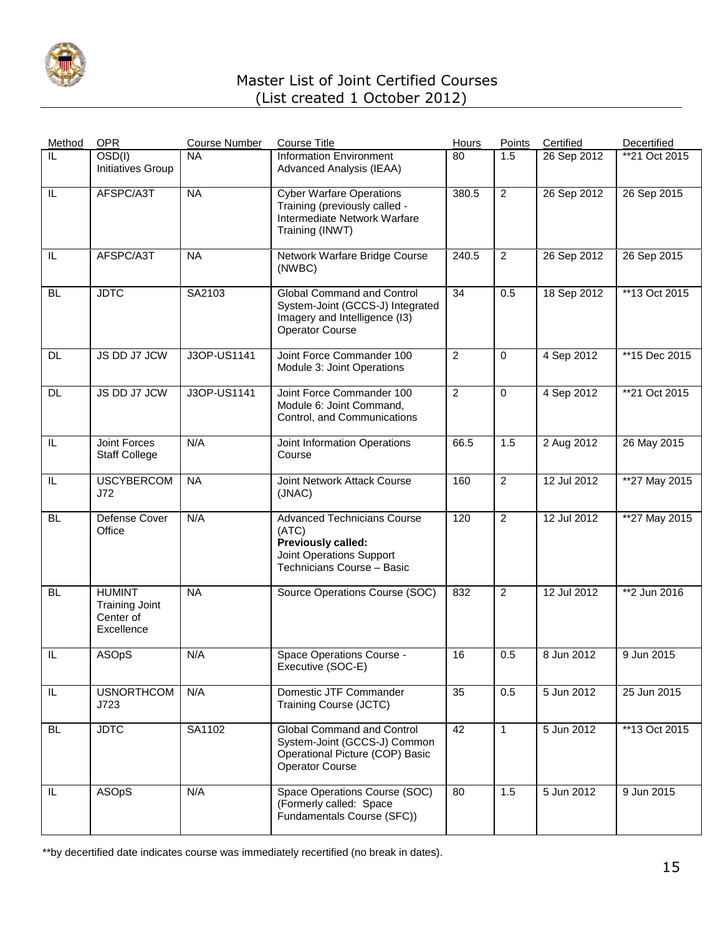

| Method    | <b>OPR</b>                                                        | <b>Course Number</b> | <b>Course Title</b>                                                                                                                | Hours          | Points         | Certified   | Decertified   |
|-----------|-------------------------------------------------------------------|----------------------|------------------------------------------------------------------------------------------------------------------------------------|----------------|----------------|-------------|---------------|
| IL        | OSD(I)<br>Initiatives Group                                       | <b>NA</b>            | <b>Information Environment</b><br>Advanced Analysis (IEAA)                                                                         | 80             | 1.5            | 26 Sep 2012 | **21 Oct 2015 |
| IL        | AFSPC/A3T                                                         | <b>NA</b>            | <b>Cyber Warfare Operations</b><br>Training (previously called -<br>Intermediate Network Warfare<br>Training (INWT)                | 380.5          | $\overline{2}$ | 26 Sep 2012 | 26 Sep 2015   |
| IL        | AFSPC/A3T                                                         | <b>NA</b>            | Network Warfare Bridge Course<br>(NWBC)                                                                                            | 240.5          | $\overline{2}$ | 26 Sep 2012 | 26 Sep 2015   |
| <b>BL</b> | <b>JDTC</b>                                                       | SA2103               | <b>Global Command and Control</b><br>System-Joint (GCCS-J) Integrated<br>Imagery and Intelligence (I3)<br><b>Operator Course</b>   | 34             | 0.5            | 18 Sep 2012 | **13 Oct 2015 |
| DL.       | JS DD J7 JCW                                                      | J3OP-US1141          | Joint Force Commander 100<br>Module 3: Joint Operations                                                                            | $\overline{2}$ | $\mathbf 0$    | 4 Sep 2012  | **15 Dec 2015 |
| <b>DL</b> | JS DD J7 JCW                                                      | J3OP-US1141          | Joint Force Commander 100<br>Module 6: Joint Command,<br>Control, and Communications                                               | $\overline{2}$ | $\mathbf 0$    | 4 Sep 2012  | **21 Oct 2015 |
| IL        | <b>Joint Forces</b><br><b>Staff College</b>                       | N/A                  | Joint Information Operations<br>Course                                                                                             | 66.5           | 1.5            | 2 Aug 2012  | 26 May 2015   |
| IL        | <b>USCYBERCOM</b><br>J72                                          | <b>NA</b>            | Joint Network Attack Course<br>(JNAC)                                                                                              | 160            | $\overline{2}$ | 12 Jul 2012 | **27 May 2015 |
| <b>BL</b> | Defense Cover<br>Office                                           | N/A                  | <b>Advanced Technicians Course</b><br>(ATC)<br><b>Previously called:</b><br>Joint Operations Support<br>Technicians Course - Basic | 120            | $\overline{2}$ | 12 Jul 2012 | **27 May 2015 |
| <b>BL</b> | <b>HUMINT</b><br><b>Training Joint</b><br>Center of<br>Excellence | <b>NA</b>            | Source Operations Course (SOC)                                                                                                     | 832            | $\overline{2}$ | 12 Jul 2012 | **2 Jun 2016  |
| IL        | <b>ASOpS</b>                                                      | N/A                  | Space Operations Course -<br>Executive (SOC-E)                                                                                     | 16             | 0.5            | 8 Jun 2012  | 9 Jun 2015    |
| IL        | <b>USNORTHCOM</b><br>J723                                         | N/A                  | Domestic JTF Commander<br>Training Course (JCTC)                                                                                   | 35             | 0.5            | 5 Jun 2012  | 25 Jun 2015   |
| <b>BL</b> | <b>JDTC</b>                                                       | SA1102               | Global Command and Control<br>System-Joint (GCCS-J) Common<br>Operational Picture (COP) Basic<br>Operator Course                   | 42             | $\mathbf{1}$   | 5 Jun 2012  | **13 Oct 2015 |
| IL        | ASOpS                                                             | N/A                  | Space Operations Course (SOC)<br>(Formerly called: Space<br>Fundamentals Course (SFC))                                             | 80             | 1.5            | 5 Jun 2012  | 9 Jun 2015    |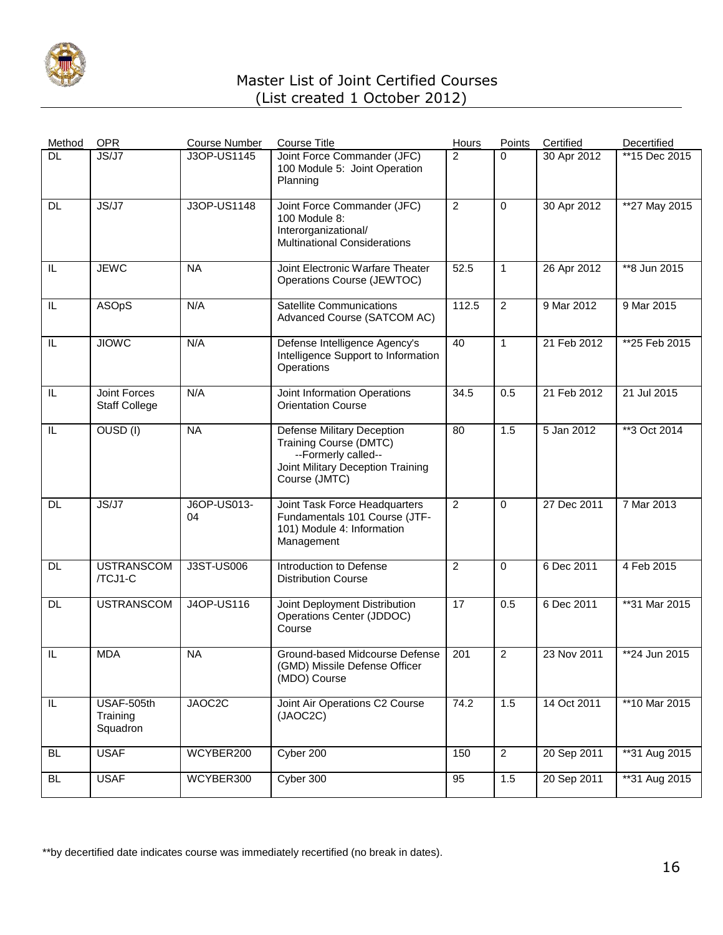

| Method    | <b>OPR</b>                           | <b>Course Number</b> | <b>Course Title</b>                                                                                                                      | Hours           | Points         | Certified   | Decertified    |
|-----------|--------------------------------------|----------------------|------------------------------------------------------------------------------------------------------------------------------------------|-----------------|----------------|-------------|----------------|
| <b>DL</b> | JS/J7                                | J3OP-US1145          | Joint Force Commander (JFC)<br>100 Module 5: Joint Operation<br>Planning                                                                 | $\overline{2}$  | $\Omega$       | 30 Apr 2012 | **15 Dec 2015  |
| <b>DL</b> | JS/J7                                | J3OP-US1148          | Joint Force Commander (JFC)<br>100 Module 8:<br>Interorganizational/<br><b>Multinational Considerations</b>                              | $\overline{2}$  | 0              | 30 Apr 2012 | **27 May 2015  |
| IL        | <b>JEWC</b>                          | <b>NA</b>            | Joint Electronic Warfare Theater<br>Operations Course (JEWTOC)                                                                           | 52.5            | $\mathbf{1}$   | 26 Apr 2012 | **8 Jun 2015   |
| IL        | ASOpS                                | N/A                  | <b>Satellite Communications</b><br>Advanced Course (SATCOM AC)                                                                           | 112.5           | $\overline{2}$ | 9 Mar 2012  | 9 Mar 2015     |
| IL        | <b>JIOMC</b>                         | N/A                  | Defense Intelligence Agency's<br>Intelligence Support to Information<br>Operations                                                       | 40              | $\mathbf{1}$   | 21 Feb 2012 | **25 Feb 2015  |
| IL        | Joint Forces<br><b>Staff College</b> | N/A                  | Joint Information Operations<br><b>Orientation Course</b>                                                                                | 34.5            | 0.5            | 21 Feb 2012 | 21 Jul 2015    |
| IL        | OUSD (I)                             | <b>NA</b>            | <b>Defense Military Deception</b><br>Training Course (DMTC)<br>--Formerly called--<br>Joint Military Deception Training<br>Course (JMTC) | 80              | 1.5            | 5 Jan 2012  | **3 Oct 2014   |
| <b>DL</b> | JS/J7                                | J6OP-US013-<br>04    | Joint Task Force Headquarters<br>Fundamentals 101 Course (JTF-<br>101) Module 4: Information<br>Management                               | $\overline{2}$  | 0              | 27 Dec 2011 | 7 Mar 2013     |
| DL.       | <b>USTRANSCOM</b><br>/TCJ1-C         | J3ST-US006           | Introduction to Defense<br><b>Distribution Course</b>                                                                                    | 2               | 0              | 6 Dec 2011  | 4 Feb 2015     |
| DL        | <b>USTRANSCOM</b>                    | <b>J4OP-US116</b>    | Joint Deployment Distribution<br>Operations Center (JDDOC)<br>Course                                                                     | $\overline{17}$ | 0.5            | 6 Dec 2011  | **31 Mar 2015  |
| IL        | <b>MDA</b>                           | <b>NA</b>            | Ground-based Midcourse Defense<br>(GMD) Missile Defense Officer<br>(MDO) Course                                                          | 201             | $\overline{2}$ | 23 Nov 2011 | $*24$ Jun 2015 |
| $\sf IL$  | USAF-505th<br>Training<br>Squadron   | JAOC2C               | Joint Air Operations C2 Course<br>(JAOC2C)                                                                                               | 74.2            | 1.5            | 14 Oct 2011 | **10 Mar 2015  |
| <b>BL</b> | <b>USAF</b>                          | WCYBER200            | Cyber 200                                                                                                                                | 150             | $\overline{2}$ | 20 Sep 2011 | **31 Aug 2015  |
| <b>BL</b> | <b>USAF</b>                          | WCYBER300            | Cyber 300                                                                                                                                | 95              | 1.5            | 20 Sep 2011 | **31 Aug 2015  |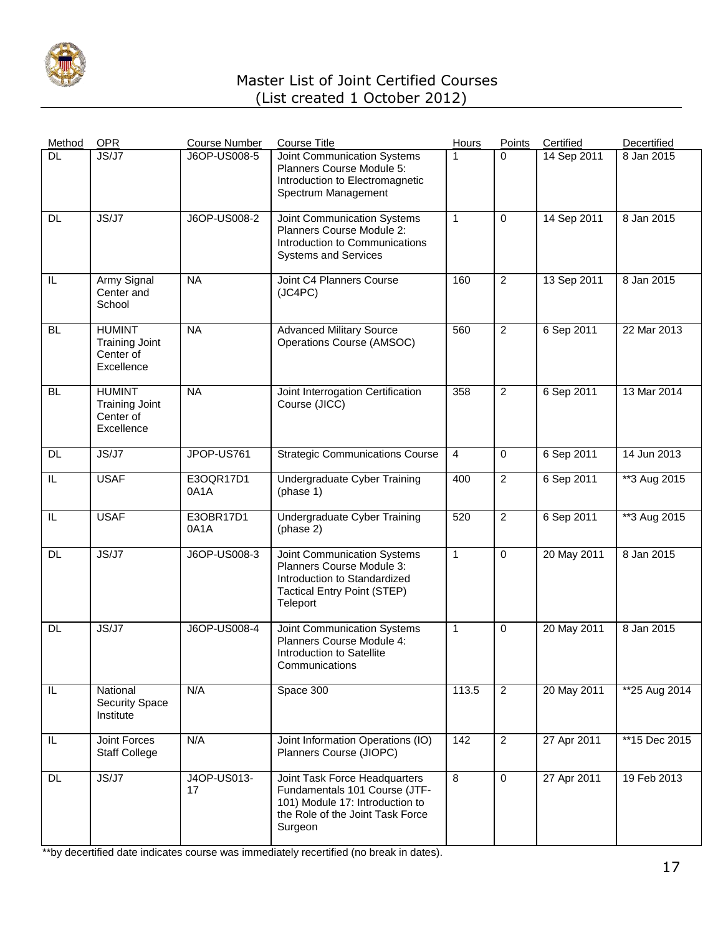

| Method    | <b>OPR</b>                                                        | <b>Course Number</b> | <b>Course Title</b>                                                                                                                              | Hours          | Points         | Certified   | Decertified   |
|-----------|-------------------------------------------------------------------|----------------------|--------------------------------------------------------------------------------------------------------------------------------------------------|----------------|----------------|-------------|---------------|
| DL        | JS/J7                                                             | J6OP-US008-5         | Joint Communication Systems<br>Planners Course Module 5:<br>Introduction to Electromagnetic<br>Spectrum Management                               | 1              | $\Omega$       | 14 Sep 2011 | 8 Jan 2015    |
| DL        | JS/J7                                                             | J6OP-US008-2         | Joint Communication Systems<br>Planners Course Module 2:<br>Introduction to Communications<br><b>Systems and Services</b>                        | $\mathbf{1}$   | $\Omega$       | 14 Sep 2011 | 8 Jan 2015    |
| IL        | Army Signal<br>Center and<br>School                               | <b>NA</b>            | Joint C4 Planners Course<br>(JC4PC)                                                                                                              | 160            | $\overline{c}$ | 13 Sep 2011 | 8 Jan 2015    |
| <b>BL</b> | <b>HUMINT</b><br><b>Training Joint</b><br>Center of<br>Excellence | <b>NA</b>            | <b>Advanced Military Source</b><br>Operations Course (AMSOC)                                                                                     | 560            | $\overline{2}$ | 6 Sep 2011  | 22 Mar 2013   |
| <b>BL</b> | <b>HUMINT</b><br><b>Training Joint</b><br>Center of<br>Excellence | <b>NA</b>            | Joint Interrogation Certification<br>Course (JICC)                                                                                               | 358            | $\overline{2}$ | 6 Sep 2011  | 13 Mar 2014   |
| <b>DL</b> | JS/J7                                                             | JPOP-US761           | <b>Strategic Communications Course</b>                                                                                                           | $\overline{4}$ | 0              | 6 Sep 2011  | 14 Jun 2013   |
| IL        | <b>USAF</b>                                                       | E3OQR17D1<br>0A1A    | Undergraduate Cyber Training<br>(phase 1)                                                                                                        | 400            | $\overline{2}$ | 6 Sep 2011  | **3 Aug 2015  |
| IL        | <b>USAF</b>                                                       | E3OBR17D1<br>0A1A    | Undergraduate Cyber Training<br>(phase 2)                                                                                                        | 520            | $\overline{c}$ | 6 Sep 2011  | **3 Aug 2015  |
| <b>DL</b> | JS/J7                                                             | J6OP-US008-3         | Joint Communication Systems<br>Planners Course Module 3:<br>Introduction to Standardized<br><b>Tactical Entry Point (STEP)</b><br>Teleport       | $\mathbf{1}$   | $\mathbf 0$    | 20 May 2011 | 8 Jan 2015    |
| DL        | JS/J7                                                             | J6OP-US008-4         | Joint Communication Systems<br>Planners Course Module 4:<br>Introduction to Satellite<br>Communications                                          | $\mathbf{1}$   | 0              | 20 May 2011 | 8 Jan 2015    |
| IL        | National<br>Security Space<br>Institute                           | N/A                  | Space 300                                                                                                                                        | 113.5          | $\overline{2}$ | 20 May 2011 | **25 Aug 2014 |
| IL        | Joint Forces<br><b>Staff College</b>                              | N/A                  | Joint Information Operations (IO)<br>Planners Course (JIOPC)                                                                                     | 142            | $\overline{2}$ | 27 Apr 2011 | **15 Dec 2015 |
| <b>DL</b> | JS/J7                                                             | J4OP-US013-<br>17    | Joint Task Force Headquarters<br>Fundamentals 101 Course (JTF-<br>101) Module 17: Introduction to<br>the Role of the Joint Task Force<br>Surgeon | 8              | $\mathbf 0$    | 27 Apr 2011 | 19 Feb 2013   |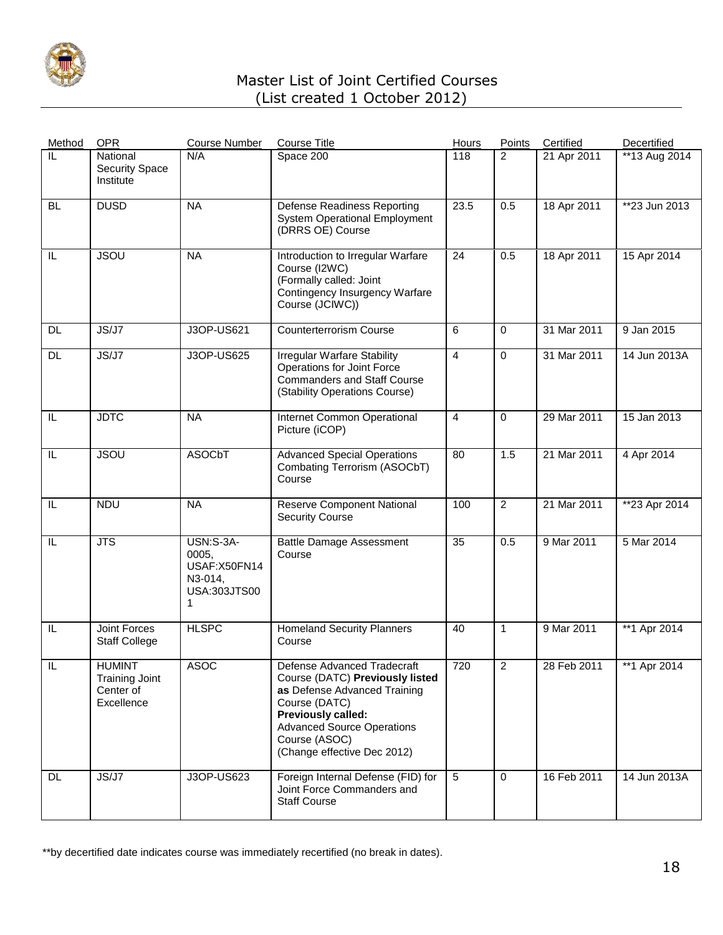

| Method    | <b>OPR</b>                                                        | <b>Course Number</b>                                               | <b>Course Title</b>                                                                                                                                                                                                        | <b>Hours</b> | <b>Points</b>  | Certified   | Decertified    |
|-----------|-------------------------------------------------------------------|--------------------------------------------------------------------|----------------------------------------------------------------------------------------------------------------------------------------------------------------------------------------------------------------------------|--------------|----------------|-------------|----------------|
| IL        | National<br><b>Security Space</b><br>Institute                    | N/A                                                                | Space 200                                                                                                                                                                                                                  | 118          | $\overline{2}$ | 21 Apr 2011 | **13 Aug 2014  |
| <b>BL</b> | <b>DUSD</b>                                                       | <b>NA</b>                                                          | <b>Defense Readiness Reporting</b><br><b>System Operational Employment</b><br>(DRRS OE) Course                                                                                                                             | 23.5         | 0.5            | 18 Apr 2011 | $*23$ Jun 2013 |
| IL        | <b>JSOU</b>                                                       | <b>NA</b>                                                          | Introduction to Irregular Warfare<br>Course (I2WC)<br>(Formally called: Joint<br>Contingency Insurgency Warfare<br>Course (JCIWC))                                                                                         | 24           | 0.5            | 18 Apr 2011 | 15 Apr 2014    |
| <b>DL</b> | JS/J7                                                             | J3OP-US621                                                         | <b>Counterterrorism Course</b>                                                                                                                                                                                             | 6            | $\Omega$       | 31 Mar 2011 | 9 Jan 2015     |
| <b>DL</b> | JS/J7                                                             | J3OP-US625                                                         | Irregular Warfare Stability<br>Operations for Joint Force<br><b>Commanders and Staff Course</b><br>(Stability Operations Course)                                                                                           | 4            | 0              | 31 Mar 2011 | 14 Jun 2013A   |
| IL        | <b>JDTC</b>                                                       | <b>NA</b>                                                          | <b>Internet Common Operational</b><br>Picture (iCOP)                                                                                                                                                                       | 4            | $\mathbf 0$    | 29 Mar 2011 | 15 Jan 2013    |
| IL        | <b>JSOU</b>                                                       | <b>ASOCbT</b>                                                      | <b>Advanced Special Operations</b><br>Combating Terrorism (ASOCbT)<br>Course                                                                                                                                               | 80           | 1.5            | 21 Mar 2011 | 4 Apr 2014     |
| IL        | <b>NDU</b>                                                        | <b>NA</b>                                                          | <b>Reserve Component National</b><br><b>Security Course</b>                                                                                                                                                                | 100          | $\overline{2}$ | 21 Mar 2011 | **23 Apr 2014  |
| IL        | $\overline{\text{JTS}}$                                           | USN:S-3A-<br>0005,<br>USAF:X50FN14<br>N3-014,<br>USA:303JTS00<br>1 | <b>Battle Damage Assessment</b><br>Course                                                                                                                                                                                  | 35           | 0.5            | 9 Mar 2011  | 5 Mar 2014     |
| IL        | <b>Joint Forces</b><br><b>Staff College</b>                       | <b>HLSPC</b>                                                       | <b>Homeland Security Planners</b><br>Course                                                                                                                                                                                | 40           | $\mathbf{1}$   | 9 Mar 2011  | **1 Apr 2014   |
| IL        | <b>HUMINT</b><br><b>Training Joint</b><br>Center of<br>Excellence | ASOC                                                               | Defense Advanced Tradecraft<br>Course (DATC) Previously listed<br>as Defense Advanced Training<br>Course (DATC)<br>Previously called:<br><b>Advanced Source Operations</b><br>Course (ASOC)<br>(Change effective Dec 2012) | 720          | 2              | 28 Feb 2011 | **1 Apr 2014   |
| DL.       | JS/J7                                                             | J3OP-US623                                                         | Foreign Internal Defense (FID) for<br>Joint Force Commanders and<br><b>Staff Course</b>                                                                                                                                    | 5            | $\Omega$       | 16 Feb 2011 | 14 Jun 2013A   |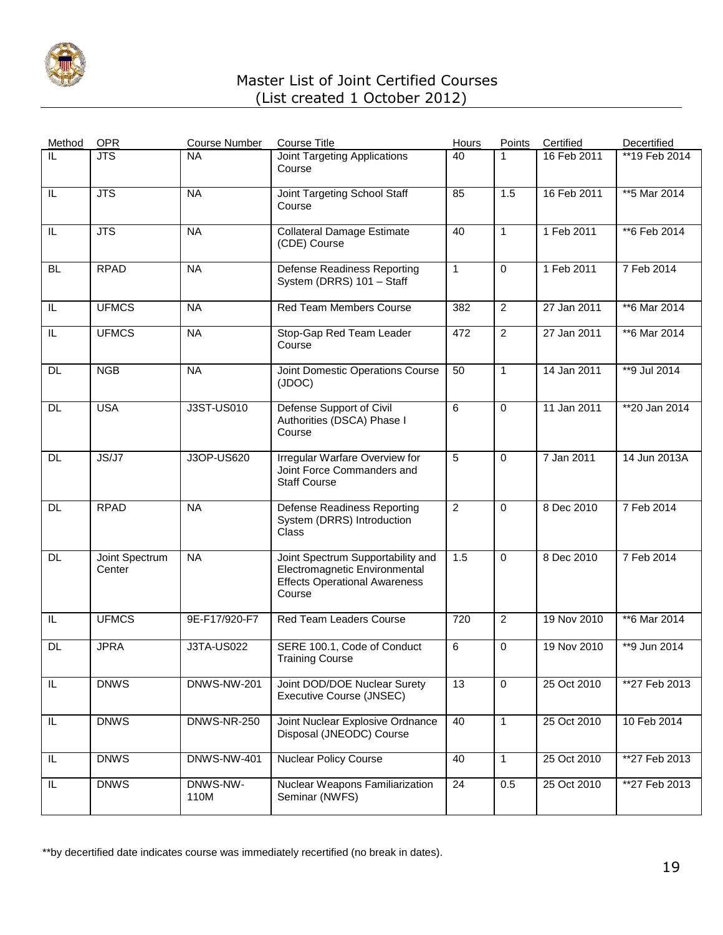

| Method    | OPR                      | <b>Course Number</b> | <b>Course Title</b>                                                                                                  | Hours          | Points         | Certified   | Decertified    |
|-----------|--------------------------|----------------------|----------------------------------------------------------------------------------------------------------------------|----------------|----------------|-------------|----------------|
| IL        | <b>JTS</b>               | <b>NA</b>            | <b>Joint Targeting Applications</b><br>Course                                                                        | 40             | 1              | 16 Feb 2011 | **19 Feb 2014  |
| IL        | <b>JTS</b>               | <b>NA</b>            | Joint Targeting School Staff<br>Course                                                                               | 85             | 1.5            | 16 Feb 2011 | ** 5 Mar 2014  |
| IL        | <b>JTS</b>               | <b>NA</b>            | <b>Collateral Damage Estimate</b><br>(CDE) Course                                                                    | 40             | $\mathbf{1}$   | 1 Feb 2011  | **6 Feb 2014   |
| <b>BL</b> | <b>RPAD</b>              | <b>NA</b>            | <b>Defense Readiness Reporting</b><br>System (DRRS) 101 - Staff                                                      | $\mathbf{1}$   | $\Omega$       | 1 Feb 2011  | 7 Feb 2014     |
| IL        | <b>UFMCS</b>             | <b>NA</b>            | <b>Red Team Members Course</b>                                                                                       | 382            | $\overline{2}$ | 27 Jan 2011 | **6 Mar 2014   |
| IL        | <b>UFMCS</b>             | <b>NA</b>            | Stop-Gap Red Team Leader<br>Course                                                                                   | 472            | $\overline{2}$ | 27 Jan 2011 | **6 Mar 2014   |
| <b>DL</b> | <b>NGB</b>               | <b>NA</b>            | Joint Domestic Operations Course<br>(JDOC)                                                                           | 50             | $\mathbf{1}$   | 14 Jan 2011 | **9 Jul 2014   |
| <b>DL</b> | <b>USA</b>               | J3ST-US010           | Defense Support of Civil<br>Authorities (DSCA) Phase I<br>Course                                                     | 6              | $\mathbf 0$    | 11 Jan 2011 | $*20$ Jan 2014 |
| DL        | JS/J7                    | J3OP-US620           | Irregular Warfare Overview for<br>Joint Force Commanders and<br><b>Staff Course</b>                                  | 5              | $\mathbf 0$    | 7 Jan 2011  | 14 Jun 2013A   |
| <b>DL</b> | <b>RPAD</b>              | <b>NA</b>            | Defense Readiness Reporting<br>System (DRRS) Introduction<br>Class                                                   | $\overline{2}$ | $\Omega$       | 8 Dec 2010  | 7 Feb 2014     |
| DL        | Joint Spectrum<br>Center | <b>NA</b>            | Joint Spectrum Supportability and<br>Electromagnetic Environmental<br><b>Effects Operational Awareness</b><br>Course | 1.5            | $\Omega$       | 8 Dec 2010  | 7 Feb 2014     |
| IL        | <b>UFMCS</b>             | 9E-F17/920-F7        | Red Team Leaders Course                                                                                              | 720            | $\overline{2}$ | 19 Nov 2010 | **6 Mar 2014   |
| <b>DL</b> | <b>JPRA</b>              | <b>J3TA-US022</b>    | SERE 100.1, Code of Conduct<br><b>Training Course</b>                                                                | 6              | 0              | 19 Nov 2010 | **9 Jun 2014   |
| IL        | <b>DNWS</b>              | <b>DNWS-NW-201</b>   | Joint DOD/DOE Nuclear Surety<br>Executive Course (JNSEC)                                                             | 13             | $\mathbf 0$    | 25 Oct 2010 | **27 Feb 2013  |
| IL        | <b>DNWS</b>              | <b>DNWS-NR-250</b>   | Joint Nuclear Explosive Ordnance<br>Disposal (JNEODC) Course                                                         | 40             | $\mathbf{1}$   | 25 Oct 2010 | 10 Feb 2014    |
| IL        | <b>DNWS</b>              | <b>DNWS-NW-401</b>   | <b>Nuclear Policy Course</b>                                                                                         | 40             | $\mathbf{1}$   | 25 Oct 2010 | **27 Feb 2013  |
| IL        | <b>DNWS</b>              | DNWS-NW-<br>110M     | Nuclear Weapons Familiarization<br>Seminar (NWFS)                                                                    | 24             | 0.5            | 25 Oct 2010 | **27 Feb 2013  |
|           |                          |                      |                                                                                                                      |                |                |             |                |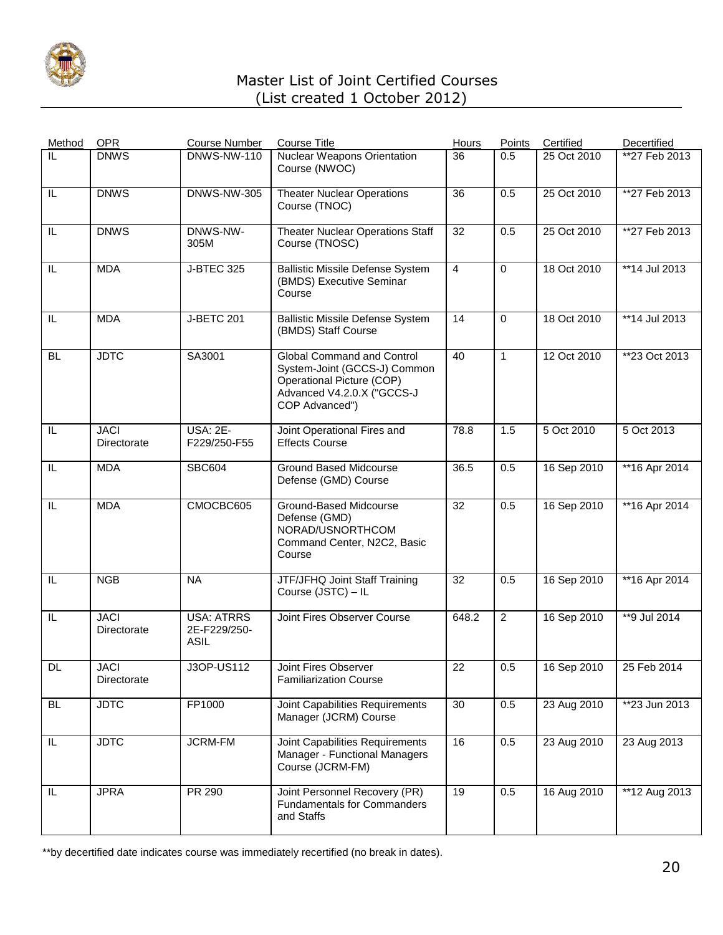

| Method    | <b>OPR</b>                 | <b>Course Number</b>                             | <b>Course Title</b>                                                                                                                     | Hours          | Points         | Certified   | Decertified     |
|-----------|----------------------------|--------------------------------------------------|-----------------------------------------------------------------------------------------------------------------------------------------|----------------|----------------|-------------|-----------------|
| IL        | <b>DNWS</b>                | <b>DNWS-NW-110</b>                               | <b>Nuclear Weapons Orientation</b><br>Course (NWOC)                                                                                     | 36             | 0.5            | 25 Oct 2010 | **27 Feb 2013   |
| IL.       | <b>DNWS</b>                | <b>DNWS-NW-305</b>                               | <b>Theater Nuclear Operations</b><br>Course (TNOC)                                                                                      | 36             | 0.5            | 25 Oct 2010 | **27 Feb 2013   |
| IL        | <b>DNWS</b>                | DNWS-NW-<br>305M                                 | <b>Theater Nuclear Operations Staff</b><br>Course (TNOSC)                                                                               | 32             | 0.5            | 25 Oct 2010 | **27 Feb 2013   |
| IL        | <b>MDA</b>                 | <b>J-BTEC 325</b>                                | <b>Ballistic Missile Defense System</b><br>(BMDS) Executive Seminar<br>Course                                                           | $\overline{4}$ | $\mathbf 0$    | 18 Oct 2010 | **14 Jul 2013   |
| IL        | <b>MDA</b>                 | <b>J-BETC 201</b>                                | <b>Ballistic Missile Defense System</b><br>(BMDS) Staff Course                                                                          | 14             | $\mathbf 0$    | 18 Oct 2010 | **14 Jul 2013   |
| <b>BL</b> | <b>JDTC</b>                | SA3001                                           | Global Command and Control<br>System-Joint (GCCS-J) Common<br>Operational Picture (COP)<br>Advanced V4.2.0.X ("GCCS-J<br>COP Advanced") | 40             | $\mathbf{1}$   | 12 Oct 2010 | **23 Oct 2013   |
| IL        | <b>JACI</b><br>Directorate | <b>USA: 2E-</b><br>F229/250-F55                  | Joint Operational Fires and<br><b>Effects Course</b>                                                                                    | 78.8           | 1.5            | 5 Oct 2010  | 5 Oct 2013      |
| IL        | <b>MDA</b>                 | <b>SBC604</b>                                    | <b>Ground Based Midcourse</b><br>Defense (GMD) Course                                                                                   | 36.5           | 0.5            | 16 Sep 2010 | ** 16 Apr 2014  |
| IL        | <b>MDA</b>                 | CMOCBC605                                        | Ground-Based Midcourse<br>Defense (GMD)<br>NORAD/USNORTHCOM<br>Command Center, N2C2, Basic<br>Course                                    | 32             | 0.5            | 16 Sep 2010 | $*$ 16 Apr 2014 |
| IL        | <b>NGB</b>                 | <b>NA</b>                                        | <b>JTF/JFHQ Joint Staff Training</b><br>Course (JSTC) - IL                                                                              | 32             | 0.5            | 16 Sep 2010 | **16 Apr 2014   |
| IL        | <b>JACI</b><br>Directorate | <b>USA: ATRRS</b><br>2E-F229/250-<br><b>ASIL</b> | Joint Fires Observer Course                                                                                                             | 648.2          | $\overline{2}$ | 16 Sep 2010 | **9 Jul 2014    |
| DL        | <b>JACI</b><br>Directorate | J3OP-US112                                       | Joint Fires Observer<br><b>Familiarization Course</b>                                                                                   | 22             | 0.5            | 16 Sep 2010 | 25 Feb 2014     |
| BL.       | <b>JDTC</b>                | FP1000                                           | Joint Capabilities Requirements<br>Manager (JCRM) Course                                                                                | 30             | 0.5            | 23 Aug 2010 | $*23$ Jun 2013  |
| IL        | <b>JDTC</b>                | <b>JCRM-FM</b>                                   | Joint Capabilities Requirements<br>Manager - Functional Managers<br>Course (JCRM-FM)                                                    | 16             | 0.5            | 23 Aug 2010 | 23 Aug 2013     |
| IL.       | <b>JPRA</b>                | PR 290                                           | Joint Personnel Recovery (PR)<br><b>Fundamentals for Commanders</b><br>and Staffs                                                       | 19             | 0.5            | 16 Aug 2010 | **12 Aug 2013   |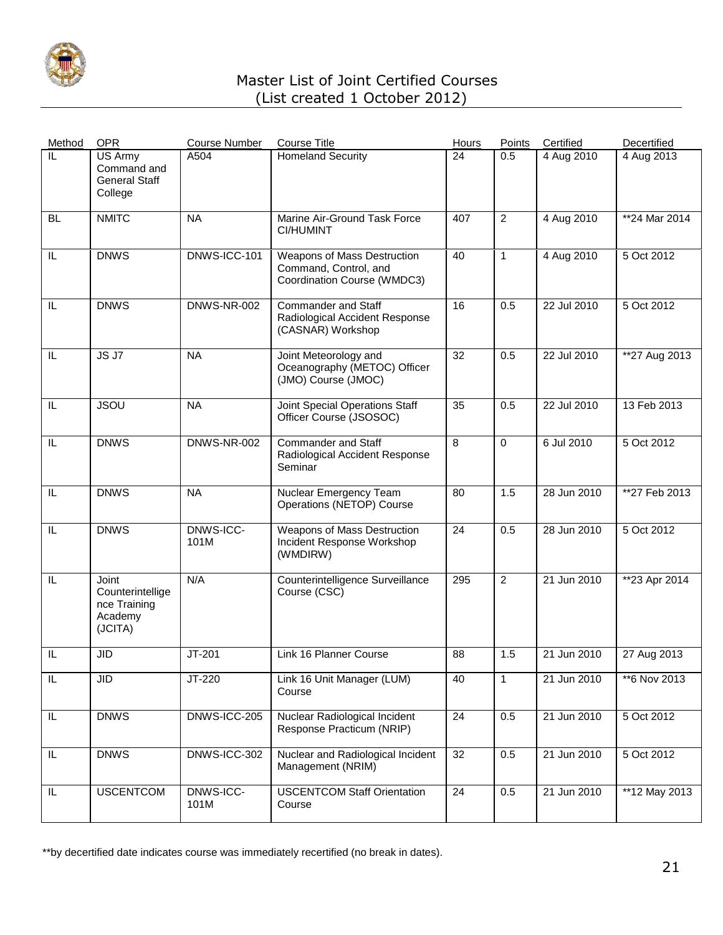

| Method                  | <b>OPR</b>                                                      | <b>Course Number</b> | <b>Course Title</b>                                                                 | Hours | Points         | Certified   | Decertified   |
|-------------------------|-----------------------------------------------------------------|----------------------|-------------------------------------------------------------------------------------|-------|----------------|-------------|---------------|
| $\overline{\mathbb{L}}$ | US Army<br>Command and<br><b>General Staff</b><br>College       | A504                 | <b>Homeland Security</b>                                                            | 24    | 0.5            | 4 Aug 2010  | 4 Aug 2013    |
| <b>BL</b>               | <b>NMITC</b>                                                    | <b>NA</b>            | Marine Air-Ground Task Force<br><b>CI/HUMINT</b>                                    | 407   | $\overline{2}$ | 4 Aug 2010  | **24 Mar 2014 |
| IL                      | <b>DNWS</b>                                                     | DNWS-ICC-101         | Weapons of Mass Destruction<br>Command, Control, and<br>Coordination Course (WMDC3) | 40    | $\mathbf{1}$   | 4 Aug 2010  | 5 Oct 2012    |
| IL                      | <b>DNWS</b>                                                     | <b>DNWS-NR-002</b>   | <b>Commander and Staff</b><br>Radiological Accident Response<br>(CASNAR) Workshop   | 16    | 0.5            | 22 Jul 2010 | 5 Oct 2012    |
| IL                      | JSJ7                                                            | <b>NA</b>            | Joint Meteorology and<br>Oceanography (METOC) Officer<br>(JMO) Course (JMOC)        | 32    | 0.5            | 22 Jul 2010 | **27 Aug 2013 |
| IL                      | <b>JSOU</b>                                                     | <b>NA</b>            | Joint Special Operations Staff<br>Officer Course (JSOSOC)                           | 35    | 0.5            | 22 Jul 2010 | 13 Feb 2013   |
| IL                      | <b>DNWS</b>                                                     | DNWS-NR-002          | <b>Commander and Staff</b><br>Radiological Accident Response<br>Seminar             | 8     | $\mathbf 0$    | 6 Jul 2010  | 5 Oct 2012    |
| IL                      | <b>DNWS</b>                                                     | <b>NA</b>            | Nuclear Emergency Team<br>Operations (NETOP) Course                                 | 80    | 1.5            | 28 Jun 2010 | **27 Feb 2013 |
| IL                      | <b>DNWS</b>                                                     | DNWS-ICC-<br>101M    | Weapons of Mass Destruction<br>Incident Response Workshop<br>(WMDIRW)               | 24    | 0.5            | 28 Jun 2010 | 5 Oct 2012    |
| IL                      | Joint<br>Counterintellige<br>nce Training<br>Academy<br>(JCITA) | N/A                  | Counterintelligence Surveillance<br>Course (CSC)                                    | 295   | $\overline{2}$ | 21 Jun 2010 | **23 Apr 2014 |
| IL                      | <b>JID</b>                                                      | JT-201               | Link 16 Planner Course                                                              | 88    | 1.5            | 21 Jun 2010 | 27 Aug 2013   |
| IL                      | <b>JID</b>                                                      | JT-220               | Link 16 Unit Manager (LUM)<br>Course                                                | 40    | $\mathbf{1}$   | 21 Jun 2010 | **6 Nov 2013  |
| IL.                     | <b>DNWS</b>                                                     | DNWS-ICC-205         | Nuclear Radiological Incident<br>Response Practicum (NRIP)                          | 24    | 0.5            | 21 Jun 2010 | 5 Oct 2012    |
| IL                      | <b>DNWS</b>                                                     | DNWS-ICC-302         | Nuclear and Radiological Incident<br>Management (NRIM)                              | 32    | 0.5            | 21 Jun 2010 | 5 Oct 2012    |
| IL                      | <b>USCENTCOM</b>                                                | DNWS-ICC-<br>101M    | <b>USCENTCOM Staff Orientation</b><br>Course                                        | 24    | 0.5            | 21 Jun 2010 | **12 May 2013 |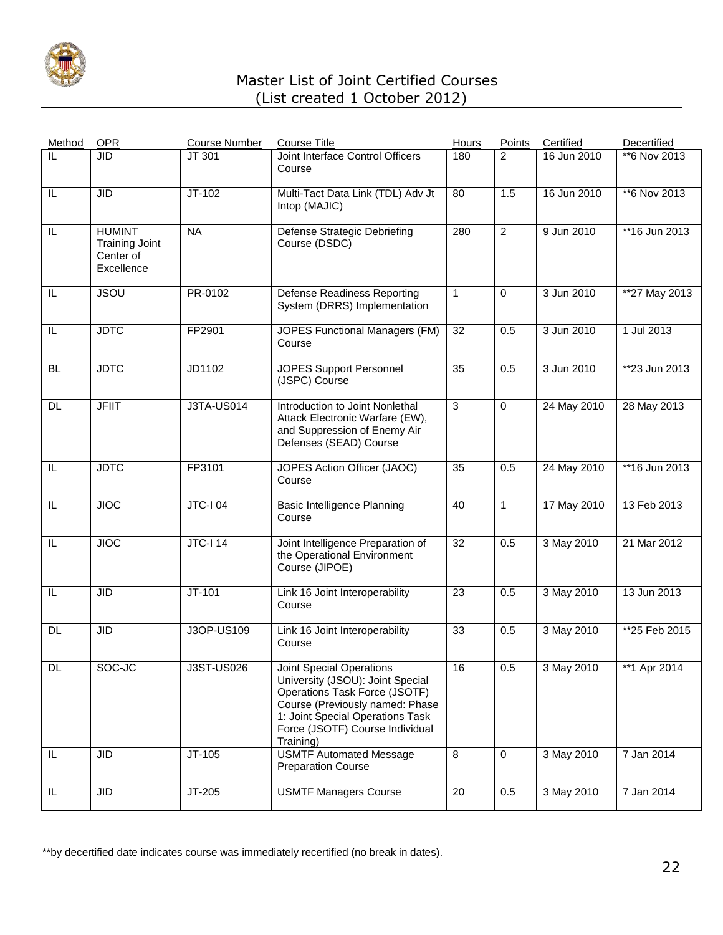

| Method    | <b>OPR</b>                                                        | <b>Course Number</b> | <b>Course Title</b>                                                                                                                                                                                                  | Hours           | Points         | Certified   | Decertified   |
|-----------|-------------------------------------------------------------------|----------------------|----------------------------------------------------------------------------------------------------------------------------------------------------------------------------------------------------------------------|-----------------|----------------|-------------|---------------|
| IL        | <b>JID</b>                                                        | JT 301               | Joint Interface Control Officers<br>Course                                                                                                                                                                           | 180             | 2              | 16 Jun 2010 | **6 Nov 2013  |
| IL        | <b>JID</b>                                                        | $JT-102$             | Multi-Tact Data Link (TDL) Adv Jt<br>Intop (MAJIC)                                                                                                                                                                   | 80              | 1.5            | 16 Jun 2010 | **6 Nov 2013  |
| IL        | <b>HUMINT</b><br><b>Training Joint</b><br>Center of<br>Excellence | <b>NA</b>            | Defense Strategic Debriefing<br>Course (DSDC)                                                                                                                                                                        | 280             | $\overline{2}$ | 9 Jun 2010  | **16 Jun 2013 |
| IL        | <b>JSOU</b>                                                       | PR-0102              | <b>Defense Readiness Reporting</b><br>System (DRRS) Implementation                                                                                                                                                   | $\mathbf{1}$    | $\Omega$       | 3 Jun 2010  | **27 May 2013 |
| IL        | <b>JDTC</b>                                                       | FP2901               | JOPES Functional Managers (FM)<br>Course                                                                                                                                                                             | 32              | 0.5            | 3 Jun 2010  | 1 Jul 2013    |
| <b>BL</b> | <b>JDTC</b>                                                       | JD1102               | <b>JOPES Support Personnel</b><br>(JSPC) Course                                                                                                                                                                      | 35              | 0.5            | 3 Jun 2010  | **23 Jun 2013 |
| DL        | <b>JFIIT</b>                                                      | J3TA-US014           | Introduction to Joint Nonlethal<br>Attack Electronic Warfare (EW),<br>and Suppression of Enemy Air<br>Defenses (SEAD) Course                                                                                         | 3               | $\mathbf 0$    | 24 May 2010 | 28 May 2013   |
| IL        | <b>JDTC</b>                                                       | FP3101               | JOPES Action Officer (JAOC)<br>Course                                                                                                                                                                                | 35              | 0.5            | 24 May 2010 | **16 Jun 2013 |
| IL        | <b>JIOC</b>                                                       | <b>JTC-I 04</b>      | <b>Basic Intelligence Planning</b><br>Course                                                                                                                                                                         | 40              | $\mathbf{1}$   | 17 May 2010 | 13 Feb 2013   |
| IL        | <b>JIOC</b>                                                       | <b>JTC-I 14</b>      | Joint Intelligence Preparation of<br>the Operational Environment<br>Course (JIPOE)                                                                                                                                   | $\overline{32}$ | 0.5            | 3 May 2010  | 21 Mar 2012   |
| IL        | <b>JID</b>                                                        | $JT-101$             | Link 16 Joint Interoperability<br>Course                                                                                                                                                                             | 23              | 0.5            | 3 May 2010  | 13 Jun 2013   |
| <b>DL</b> | <b>JID</b>                                                        | J3OP-US109           | Link 16 Joint Interoperability<br>Course                                                                                                                                                                             | 33              | 0.5            | 3 May 2010  | **25 Feb 2015 |
| DL.       | SOC-JC                                                            | J3ST-US026           | Joint Special Operations<br>University (JSOU): Joint Special<br>Operations Task Force (JSOTF)<br>Course (Previously named: Phase<br>1: Joint Special Operations Task<br>Force (JSOTF) Course Individual<br>Training) | 16              | 0.5            | 3 May 2010  | **1 Apr 2014  |
| IL        | <b>JID</b>                                                        | JT-105               | <b>USMTF Automated Message</b><br><b>Preparation Course</b>                                                                                                                                                          | 8               | $\mathbf 0$    | 3 May 2010  | 7 Jan 2014    |
| IL.       | <b>JID</b>                                                        | JT-205               | <b>USMTF Managers Course</b>                                                                                                                                                                                         | 20              | 0.5            | 3 May 2010  | 7 Jan 2014    |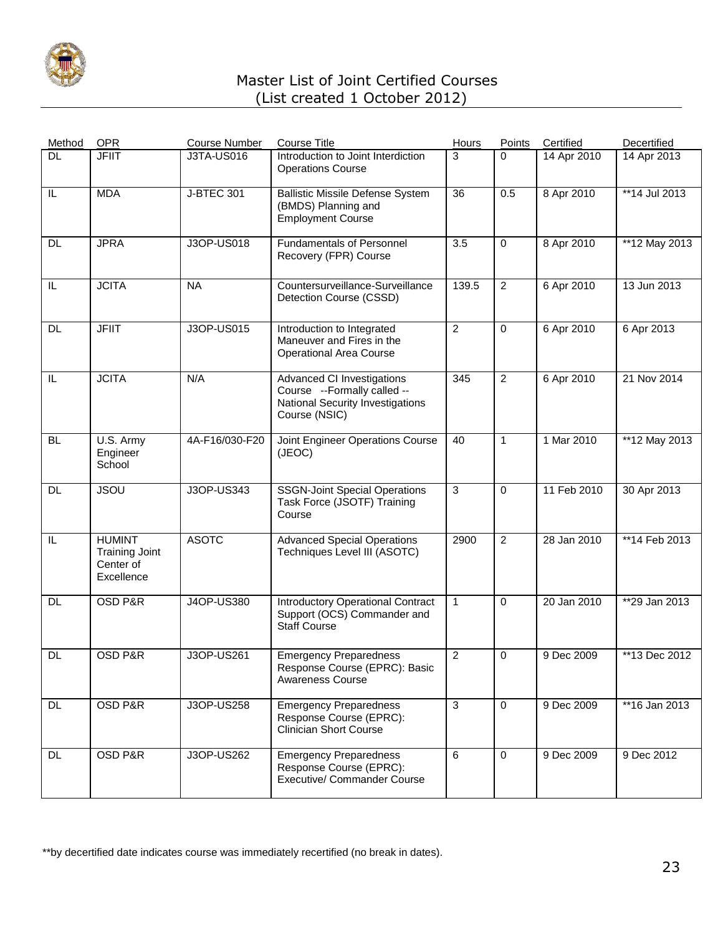

| Method    | <b>OPR</b>                                                        | <b>Course Number</b> | <b>Course Title</b>                                                                                                   | <b>Hours</b>   | Points         | Certified   | Decertified     |
|-----------|-------------------------------------------------------------------|----------------------|-----------------------------------------------------------------------------------------------------------------------|----------------|----------------|-------------|-----------------|
| <b>DL</b> | <b>JFIIT</b>                                                      | <b>J3TA-US016</b>    | Introduction to Joint Interdiction<br><b>Operations Course</b>                                                        | 3              | $\Omega$       | 14 Apr 2010 | 14 Apr 2013     |
| IL        | <b>MDA</b>                                                        | <b>J-BTEC 301</b>    | <b>Ballistic Missile Defense System</b><br>(BMDS) Planning and<br><b>Employment Course</b>                            | 36             | 0.5            | 8 Apr 2010  | **14 Jul 2013   |
| <b>DL</b> | <b>JPRA</b>                                                       | J3OP-US018           | <b>Fundamentals of Personnel</b><br>Recovery (FPR) Course                                                             | 3.5            | $\mathbf 0$    | 8 Apr 2010  | **12 May 2013   |
| IL        | <b>JCITA</b>                                                      | <b>NA</b>            | Countersurveillance-Surveillance<br>Detection Course (CSSD)                                                           | 139.5          | $\overline{2}$ | 6 Apr 2010  | 13 Jun 2013     |
| DL        | <b>JFIIT</b>                                                      | J3OP-US015           | Introduction to Integrated<br>Maneuver and Fires in the<br><b>Operational Area Course</b>                             | 2              | $\mathbf 0$    | 6 Apr 2010  | 6 Apr 2013      |
| IL        | <b>JCITA</b>                                                      | N/A                  | <b>Advanced CI Investigations</b><br>Course --Formally called --<br>National Security Investigations<br>Course (NSIC) | 345            | $\overline{2}$ | 6 Apr 2010  | 21 Nov 2014     |
| <b>BL</b> | U.S. Army<br>Engineer<br>School                                   | 4A-F16/030-F20       | Joint Engineer Operations Course<br>(JEOC)                                                                            | 40             | $\mathbf{1}$   | 1 Mar 2010  | $*$ 12 May 2013 |
| DL.       | <b>JSOU</b>                                                       | J3OP-US343           | <b>SSGN-Joint Special Operations</b><br>Task Force (JSOTF) Training<br>Course                                         | $\mathbf{3}$   | $\mathbf 0$    | 11 Feb 2010 | 30 Apr 2013     |
| IL        | <b>HUMINT</b><br><b>Training Joint</b><br>Center of<br>Excellence | <b>ASOTC</b>         | <b>Advanced Special Operations</b><br>Techniques Level III (ASOTC)                                                    | 2900           | $\overline{2}$ | 28 Jan 2010 | **14 Feb 2013   |
| <b>DL</b> | OSD P&R                                                           | J4OP-US380           | <b>Introductory Operational Contract</b><br>Support (OCS) Commander and<br><b>Staff Course</b>                        | $\mathbf{1}$   | $\mathbf 0$    | 20 Jan 2010 | **29 Jan 2013   |
| <b>DL</b> | <b>OSD P&amp;R</b>                                                | J3OP-US261           | <b>Emergency Preparedness</b><br>Response Course (EPRC): Basic<br>Awareness Course                                    | $\overline{c}$ | $\mathbf 0$    | 9 Dec 2009  | **13 Dec 2012   |
| <b>DL</b> | OSD P&R                                                           | J3OP-US258           | <b>Emergency Preparedness</b><br>Response Course (EPRC):<br><b>Clinician Short Course</b>                             | $\mathbf{3}$   | $\mathbf 0$    | 9 Dec 2009  | **16 Jan 2013   |
| DL.       | OSD P&R                                                           | <b>J3OP-US262</b>    | <b>Emergency Preparedness</b><br>Response Course (EPRC):<br><b>Executive/ Commander Course</b>                        | 6              | $\mathbf 0$    | 9 Dec 2009  | 9 Dec 2012      |